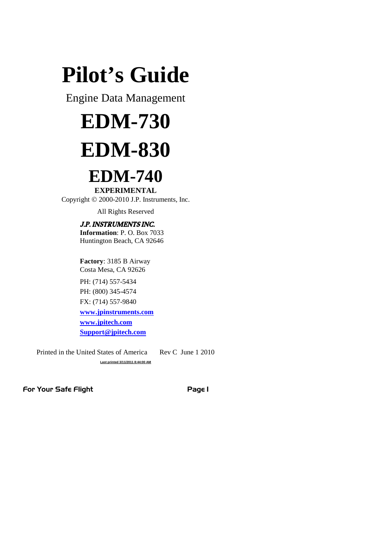# **Pilot's Guide**

Engine Data Management

# **EDM-730 EDM-830**

# **EDM-740**

**EXPERIMENTAL** Copyright  $\odot$  2000-2010 J.P. Instruments, Inc.

All Rights Reserved

# J.P. INSTRUMENTS INC.

**Information**: P. O. Box 7033 Huntington Beach, CA 92646

**Factory**: 3185 B Airway Costa Mesa, CA 92626

PH: (714) 557-5434 PH: (800) 345-4574 FX: (714) 557-9840 **www.jpinstruments.com www.jpitech.com Support@jpitech.com**

Printed in the United States of America Rev C June 1 2010 **Last printed 3/11/2011 8:44:00 AM**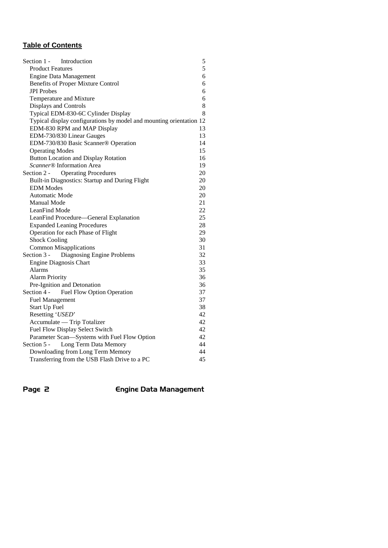# **Table of Contents**

| Section 1 -<br>Introduction                                         | 5  |
|---------------------------------------------------------------------|----|
| <b>Product Features</b>                                             | 5  |
| <b>Engine Data Management</b>                                       | 6  |
| Benefits of Proper Mixture Control                                  | 6  |
| <b>JPI</b> Probes                                                   | 6  |
| Temperature and Mixture                                             | 6  |
| Displays and Controls                                               | 8  |
| Typical EDM-830-6C Cylinder Display                                 | 8  |
| Typical display configurations by model and mounting orientation 12 |    |
| EDM-830 RPM and MAP Display                                         | 13 |
| EDM-730/830 Linear Gauges                                           | 13 |
| EDM-730/830 Basic Scanner® Operation                                | 14 |
| <b>Operating Modes</b>                                              | 15 |
| <b>Button Location and Display Rotation</b>                         | 16 |
| <i>Scanner</i> <sup>®</sup> Information Area                        | 19 |
| Section 2 -<br><b>Operating Procedures</b>                          | 20 |
| Built-in Diagnostics: Startup and During Flight                     | 20 |
| <b>EDM</b> Modes                                                    | 20 |
| Automatic Mode                                                      | 20 |
| <b>Manual Mode</b>                                                  | 21 |
| LeanFind Mode                                                       | 22 |
| LeanFind Procedure—General Explanation                              | 25 |
| <b>Expanded Leaning Procedures</b>                                  | 28 |
| Operation for each Phase of Flight                                  | 29 |
| <b>Shock Cooling</b>                                                | 30 |
| <b>Common Misapplications</b>                                       | 31 |
| Diagnosing Engine Problems<br>Section 3 -                           | 32 |
| <b>Engine Diagnosis Chart</b>                                       | 33 |
| Alarms                                                              | 35 |
| <b>Alarm Priority</b>                                               | 36 |
| Pre-Ignition and Detonation                                         | 36 |
| Section 4 -<br><b>Fuel Flow Option Operation</b>                    | 37 |
| <b>Fuel Management</b>                                              | 37 |
| Start Up Fuel                                                       | 38 |
| Resetting 'USED'                                                    | 42 |
| Accumulate - Trip Totalizer                                         | 42 |
| Fuel Flow Display Select Switch                                     | 42 |
| Parameter Scan-Systems with Fuel Flow Option                        | 42 |
| Section 5 -<br>Long Term Data Memory                                | 44 |
| Downloading from Long Term Memory                                   | 44 |
| Transferring from the USB Flash Drive to a PC                       | 45 |

Page 2 **Engine Data Management**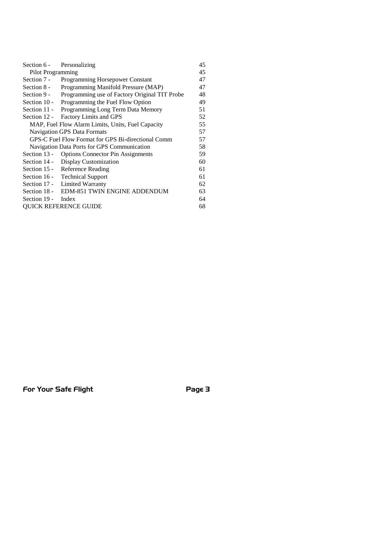| Section 6 -<br>Personalizing                             |                                                |    |  |
|----------------------------------------------------------|------------------------------------------------|----|--|
| <b>Pilot Programming</b>                                 |                                                |    |  |
| Section 7 -                                              | <b>Programming Horsepower Constant</b>         | 47 |  |
| Section 8 -                                              | Programming Manifold Pressure (MAP)            | 47 |  |
| Section 9 -                                              | Programming use of Factory Original TIT Probe  | 48 |  |
| Section 10 -                                             | Programming the Fuel Flow Option               | 49 |  |
| Section $11 -$                                           | Programming Long Term Data Memory              | 51 |  |
| Section 12 -                                             | Factory Limits and GPS                         | 52 |  |
| MAP, Fuel Flow Alarm Limits, Units, Fuel Capacity<br>55  |                                                |    |  |
| Navigation GPS Data Formats<br>57                        |                                                |    |  |
| 57<br>GPS-C Fuel Flow Format for GPS Bi-directional Comm |                                                |    |  |
| 58<br>Navigation Data Ports for GPS Communication        |                                                |    |  |
|                                                          | Section 13 - Options Connector Pin Assignments | 59 |  |
|                                                          | Section 14 - Display Customization             | 60 |  |
| Section 15 - Reference Reading                           |                                                |    |  |
| Section 16 - Technical Support                           |                                                |    |  |
| Section 17 - Limited Warranty                            |                                                |    |  |
| Section 18 - EDM-851 TWIN ENGINE ADDENDUM                |                                                |    |  |
| 64<br>Section 19 -<br>Index                              |                                                |    |  |
| <b>OUICK REFERENCE GUIDE</b><br>68                       |                                                |    |  |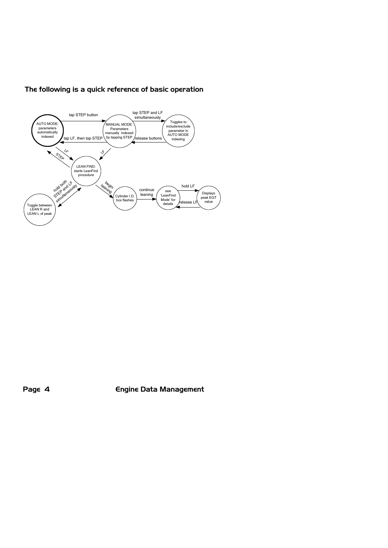

# The following is a quick reference of basic operation

Page 4 **Engine Data Management**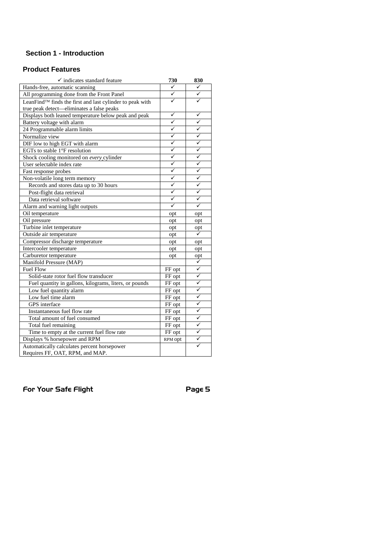# **Section 1 - Introduction**

# **Product Features**

| $\checkmark$ indicates standard feature                  | 730          | 830          |
|----------------------------------------------------------|--------------|--------------|
| Hands-free, automatic scanning                           | ✓            | ✓            |
| All programming done from the Front Panel                | ✓            | ✓            |
| LeanFind™ finds the first and last cylinder to peak with | ✓            | ✓            |
| true peak detect-eliminates a false peaks                |              |              |
| Displays both leaned temperature below peak and peak     | ✓            | ✓            |
| Battery voltage with alarm                               | ✓            | ✓            |
| 24 Programmable alarm limits                             | ✓            |              |
| Normalize view                                           | ✓            | ✓            |
| DIF low to high EGT with alarm                           | ✓            | ✓            |
| EGTs to stable 1°F resolution                            | ✓            | ✓            |
| Shock cooling monitored on every cylinder                | ✓            | ✓            |
| User selectable index rate                               | ✓            | ✓            |
| Fast response probes                                     | ✓            | ✓            |
| Non-volatile long term memory                            | ✓            | ✓            |
| Records and stores data up to 30 hours                   | $\checkmark$ | ✓            |
| Post-flight data retrieval                               | ✓            | ✓            |
| Data retrieval software                                  | ✓            | ✓            |
| Alarm and warning light outputs                          | ✓            | ✓            |
| Oil temperature                                          | opt          | opt          |
| Oil pressure                                             | opt          | opt          |
| Turbine inlet temperature                                | opt          | opt          |
| Outside air temperature                                  | opt          |              |
| Compressor discharge temperature                         | opt          | opt          |
| Intercooler temperature                                  | opt          | opt          |
| Carburetor temperature                                   | opt          | opt          |
| Manifold Pressure (MAP)                                  |              | ✓            |
| <b>Fuel Flow</b>                                         | FF opt       | ✓            |
| Solid-state rotor fuel flow transducer                   | FF opt       | ✓            |
| Fuel quantity in gallons, kilograms, liters, or pounds   | FF opt       | ✓            |
| Low fuel quantity alarm                                  | FF opt       | ✓            |
| Low fuel time alarm                                      | FF opt       | ✓            |
| GPS interface                                            | FF opt       | ✓            |
| Instantaneous fuel flow rate                             | FF opt       | ✓            |
| Total amount of fuel consumed                            | FF opt       | ✓            |
| Total fuel remaining                                     | FF opt       | ✓            |
| Time to empty at the current fuel flow rate              | FF opt       | ✓            |
| Displays % horsepower and RPM                            | RPM opt      | $\checkmark$ |
| Automatically calculates percent horsepower              |              |              |
| Requires FF, OAT, RPM, and MAP.                          |              |              |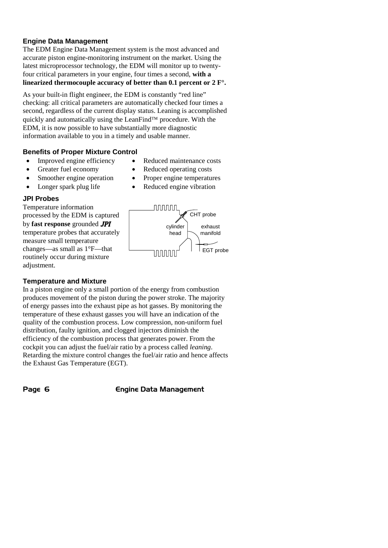# **Engine Data Management**

The EDM Engine Data Management system is the most advanced and accurate piston engine-monitoring instrument on the market. Using the latest microprocessor technology, the EDM will monitor up to twentyfour critical parameters in your engine, four times a second, **with a linearized thermocouple accuracy of better than 0.1 percent or 2 F°.**

As your built-in flight engineer, the EDM is constantly "red line" checking: all critical parameters are automatically checked four times a second, regardless of the current display status. Leaning is accomplished quickly and automatically using the LeanFind<sup> $m$ </sup> procedure. With the EDM, it is now possible to have substantially more diagnostic information available to you in a timely and usable manner.

## **Benefits of Proper Mixture Control**

- 
- 
- 
- 

## **JPI Probes**

Temperature information processed by the EDM is captured by **fast response** grounded JPI temperature probes that accurately measure small temperature changes—as small as 1°F—that routinely occur during mixture adjustment.

## **Temperature and Mixture**

In a piston engine only a small portion of the energy from combustion produces movement of the piston during the power stroke. The majority of energy passes into the exhaust pipe as hot gasses. By monitoring the temperature of these exhaust gasses you will have an indication of the quality of the combustion process. Low compression, non-uniform fuel distribution, faulty ignition, and clogged injectors diminish the efficiency of the combustion process that generates power. From the cockpit you can adjust the fuel/air ratio by a process called *leaning*. Retarding the mixture control changes the fuel/air ratio and hence affects the Exhaust Gas Temperature (EGT).

Page 6 **Engine Data Management** 

- Improved engine efficiency Reduced maintenance costs
- Greater fuel economy Reduced operating costs
- Smoother engine operation Proper engine temperatures
- Longer spark plug life Reduced engine vibration

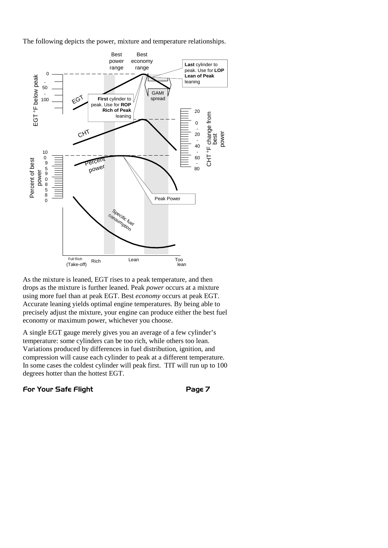The following depicts the power, mixture and temperature relationships.



As the mixture is leaned, EGT rises to a peak temperature, and then drops as the mixture is further leaned. Peak *power* occurs at a mixture using more fuel than at peak EGT. Best *economy* occurs at peak EGT. Accurate leaning yields optimal engine temperatures. By being able to precisely adjust the mixture, your engine can produce either the best fuel economy or maximum power, whichever you choose.

A single EGT gauge merely gives you an average of a few cylinder's temperature: some cylinders can be too rich, while others too lean. Variations produced by differences in fuel distribution, ignition, and compression will cause each cylinder to peak at a different temperature. In some cases the coldest cylinder will peak first. TIT will run up to 100 degrees hotter than the hottest EGT.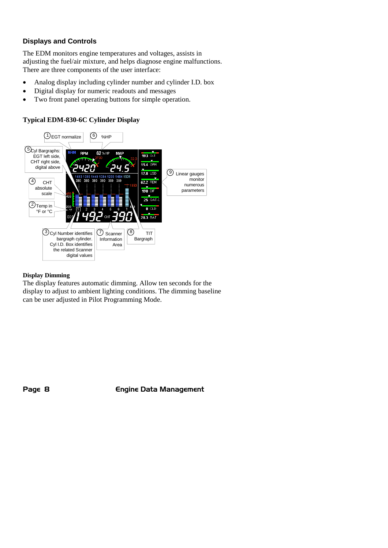# **Displays and Controls**

The EDM monitors engine temperatures and voltages, assists in adjusting the fuel/air mixture, and helps diagnose engine malfunctions. There are three components of the user interface:

- Analog display including cylinder number and cylinder I.D. box
- Digital display for numeric readouts and messages
- Two front panel operating buttons for simple operation.

## **Typical EDM-830-6C Cylinder Display**



#### **Display Dimming**

The display features automatic dimming. Allow ten seconds for the display to adjust to ambient lighting conditions. The dimming baseline can be user adjusted in Pilot Programming Mode.

Page 8 **Engine Data Management**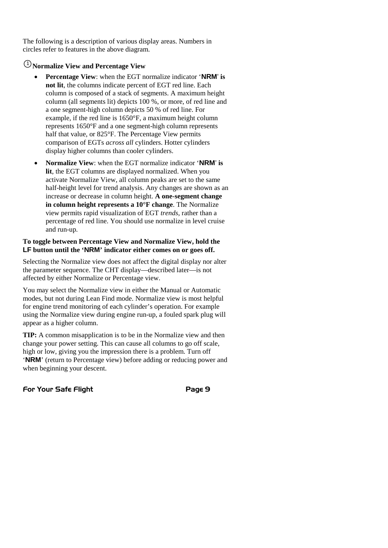The following is a description of various display areas. Numbers in circles refer to features in the above diagram.

# <sup>1</sup> **Normalize View and Percentage View**

- **Percentage View**: when the EGT normalize indicator '**NRM**' **is not lit**, the columns indicate percent of EGT red line. Each column is composed of a stack of segments. A maximum height column (all segments lit) depicts 100 %, or more, of red line and a one segment-high column depicts 50 % of red line. For example, if the red line is 1650°F, a maximum height column represents 1650°F and a one segment-high column represents half that value, or 825°F. The Percentage View permits comparison of EGTs *across all* cylinders. Hotter cylinders display higher columns than cooler cylinders.
- **Normalize View**: when the EGT normalize indicator '**NRM**' **is lit**, the EGT columns are displayed normalized. When you activate Normalize View, all column peaks are set to the same half-height level for trend analysis. Any changes are shown as an increase or decrease in column height. **A one-segment change in column height represents a 10°F change**. The Normalize view permits rapid visualization of EGT *trends*, rather than a percentage of red line. You should use normalize in level cruise and run-up.

#### **To toggle between Percentage View and Normalize View, hold the LF button until the 'NRM' indicator either comes on or goes off.**

Selecting the Normalize view does not affect the digital display nor alter the parameter sequence. The CHT display—described later—is not affected by either Normalize or Percentage view.

You may select the Normalize view in either the Manual or Automatic modes, but not during Lean Find mode. Normalize view is most helpful for engine trend monitoring of each cylinder's operation. For example using the Normalize view during engine run-up, a fouled spark plug will appear as a higher column.

**TIP:** A common misapplication is to be in the Normalize view and then change your power setting. This can cause all columns to go off scale, high or low, giving you the impression there is a problem. Turn off '**NRM**' (return to Percentage view) before adding or reducing power and when beginning your descent.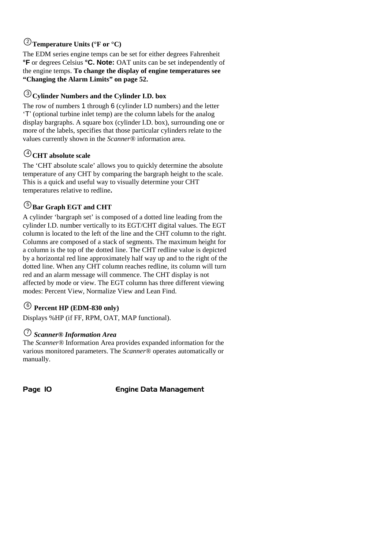# <sup>2</sup> **Temperature Units (°F or °C)**

The EDM series engine temps can be set for either degrees Fahrenheit **°F** or degrees Celsius **°C. Note:** OAT units can be set independently of the engine temps. **To change the display of engine temperatures see "Changing the Alarm Limits" on page 52.**

# <sup>3</sup> **Cylinder Numbers and the Cylinder I.D. box**

The row of numbers 1 through 6 (cylinder I.D numbers) and the letter 'T' (optional turbine inlet temp) are the column labels for the analog display bargraphs. A square box (cylinder I.D. box), surrounding one or more of the labels, specifies that those particular cylinders relate to the values currently shown in the *Scanner®* information area.

# $\bigcirc$  CHT absolute scale

The 'CHT absolute scale' allows you to quickly determine the absolute temperature of any CHT by comparing the bargraph height to the scale. This is a quick and useful way to visually determine your CHT temperatures relative to redline**.**

# <sup>5</sup> **Bar Graph EGT and CHT**

A cylinder 'bargraph set' is composed of a dotted line leading from the cylinder I.D. number vertically to its EGT/CHT digital values. The EGT column is located to the left of the line and the CHT column to the right. Columns are composed of a stack of segments. The maximum height for a column is the top of the dotted line. The CHT redline value is depicted by a horizontal red line approximately half way up and to the right of the dotted line. When any CHT column reaches redline, its column will turn red and an alarm message will commence. The CHT display is not affected by mode or view. The EGT column has three different viewing modes: Percent View, Normalize View and Lean Find.

# <sup>6</sup> **Percent HP (EDM-830 only)**

Displays %HP (if FF, RPM, OAT, MAP functional).

# 7 *Scanner® Information Area*

The *Scanner®* Information Area provides expanded information for the various monitored parameters. The *Scanner®* operates automatically or manually.

Page 10 **Engine Data Management**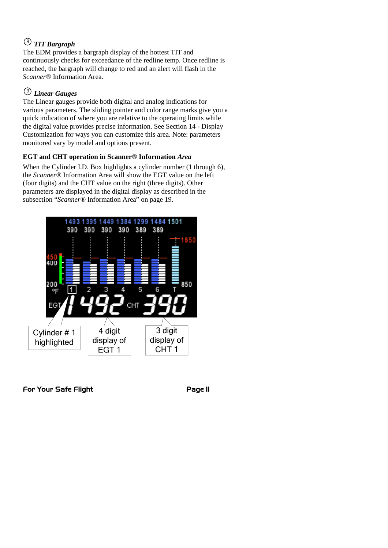# 8 *TIT Bargraph*

The EDM provides a bargraph display of the hottest TIT and continuously checks for exceedance of the redline temp. Once redline is reached, the bargraph will change to red and an alert will flash in the *Scanner®* Information Area.

# 9 *Linear Gauges*

The Linear gauges provide both digital and analog indications for various parameters. The sliding pointer and color range marks give you a quick indication of where you are relative to the operating limits while the digital value provides precise information. See Section 14 - Display Customization for ways you can customize this area. Note: parameters monitored vary by model and options present.

# **EGT and CHT operation in Scanner® Information** *Area*

When the Cylinder I.D. Box highlights a cylinder number (1 through 6), the *Scanner®* Information Area will show the EGT value on the left (four digits) and the CHT value on the right (three digits). Other parameters are displayed in the digital display as described in the subsection "*Scanner®* Information Area" on page 19.

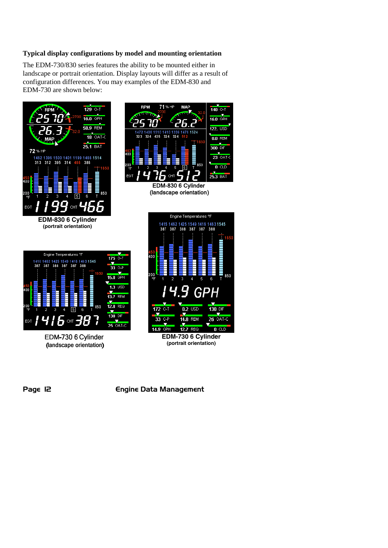#### **Typical display configurations by model and mounting orientation**

The EDM-730/830 series features the ability to be mounted either in landscape or portrait orientation. Display layouts will differ as a result of configuration differences. You may examples of the EDM-830 and EDM-730 are shown below:





(landscape orientation)



EDM-730 6 Cylinder (landscape orientation)



**(portrait orientation)**

Page 12 **Engine Data Management**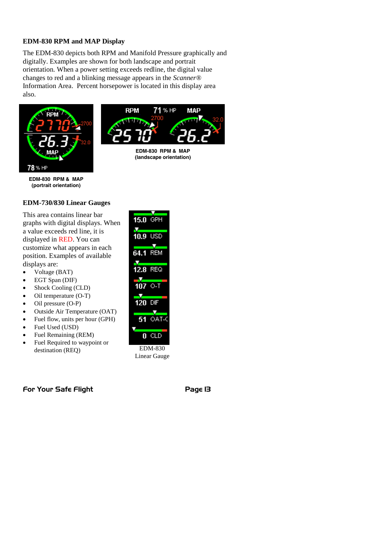#### **EDM-830 RPM and MAP Display**

The EDM-830 depicts both RPM and Manifold Pressure graphically and digitally. Examples are shown for both landscape and portrait orientation. When a power setting exceeds redline, the digital value changes to red and a blinking message appears in the *Scanner®* Information Area. Percent horsepower is located in this display area also.





**EDM-830 RPM & MAP (landscape orientation)**

**EDM-830 RPM & MAP (portrait orientation)**

# **EDM-730/830 Linear Gauges**

This area contains linear bar graphs with digital displays. When a value exceeds red line, it is displayed in RED. You can customize what appears in each position. Examples of available displays are:

- Voltage (BAT)
- EGT Span (DIF)
- Shock Cooling (CLD)
- Oil temperature (O-T)
- Oil pressure (O-P)
- Outside Air Temperature (OAT)
- Fuel flow, units per hour (GPH)
- Fuel Used (USD)
- Fuel Remaining (REM)
- Fuel Required to waypoint or destination (REQ)

| $15.0$ GPH           |                 |
|----------------------|-----------------|
| $\frac{1}{10.9}$ usd |                 |
| $64.1$ Rem           |                 |
| 12.8 REQ             |                 |
| $107$ O-T            |                 |
| 120 DIF              |                 |
|                      | <b>51 OAT-C</b> |
| n                    | - CL            |
|                      | EDM-830         |

Linear Gauge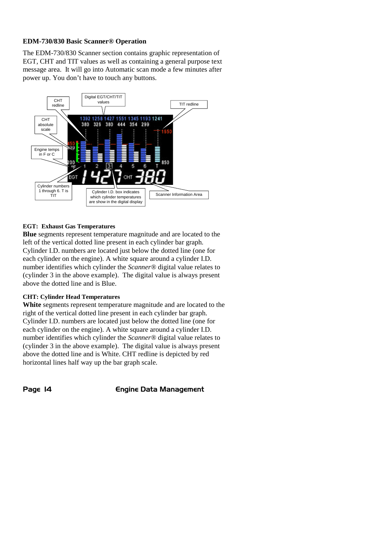#### **EDM-730/830 Basic Scanner® Operation**

The EDM-730/830 Scanner section contains graphic representation of EGT, CHT and TIT values as well as containing a general purpose text message area. It will go into Automatic scan mode a few minutes after power up. You don't have to touch any buttons.



#### **EGT: Exhaust Gas Temperatures**

**Blue** segments represent temperature magnitude and are located to the left of the vertical dotted line present in each cylinder bar graph. Cylinder I.D. numbers are located just below the dotted line (one for each cylinder on the engine). A white square around a cylinder I.D. number identifies which cylinder the *Scanner®* digital value relates to (cylinder 3 in the above example). The digital value is always present above the dotted line and is Blue.

#### **CHT: Cylinder Head Temperatures**

**White** segments represent temperature magnitude and are located to the right of the vertical dotted line present in each cylinder bar graph. Cylinder I.D. numbers are located just below the dotted line (one for each cylinder on the engine). A white square around a cylinder I.D. number identifies which cylinder the *Scanner®* digital value relates to (cylinder 3 in the above example). The digital value is always present above the dotted line and is White. CHT redline is depicted by red horizontal lines half way up the bar graph scale.

Page 14 **Engine Data Management**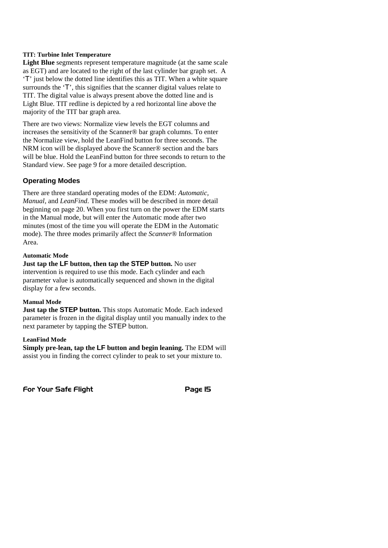#### **TIT: Turbine Inlet Temperature**

**Light Blue** segments represent temperature magnitude (at the same scale as EGT) and are located to the right of the last cylinder bar graph set. A 'T' just below the dotted line identifies this as TIT. When a white square surrounds the 'T', this signifies that the scanner digital values relate to TIT. The digital value is always present above the dotted line and is Light Blue. TIT redline is depicted by a red horizontal line above the majority of the TIT bar graph area.

There are two views: Normalize view levels the EGT columns and increases the sensitivity of the Scanner® bar graph columns. To enter the Normalize view, hold the LeanFind button for three seconds. The NRM icon will be displayed above the Scanner® section and the bars will be blue. Hold the LeanFind button for three seconds to return to the Standard view. See page 9 for a more detailed description.

#### **Operating Modes**

There are three standard operating modes of the EDM: *Automatic, Manual,* and *LeanFind*. These modes will be described in more detail beginning on page 20. When you first turn on the power the EDM starts in the Manual mode, but will enter the Automatic mode after two minutes (most of the time you will operate the EDM in the Automatic mode). The three modes primarily affect the *Scanner®* Information Area.

#### **Automatic Mode**

**Just tap the LF button, then tap the STEP button.** No user intervention is required to use this mode. Each cylinder and each parameter value is automatically sequenced and shown in the digital display for a few seconds.

#### **Manual Mode**

**Just tap the STEP button.** This stops Automatic Mode. Each indexed parameter is frozen in the digital display until you manually index to the next parameter by tapping the STEP button.

#### **LeanFind Mode**

**Simply pre-lean, tap the LF button and begin leaning.** The EDM will assist you in finding the correct cylinder to peak to set your mixture to.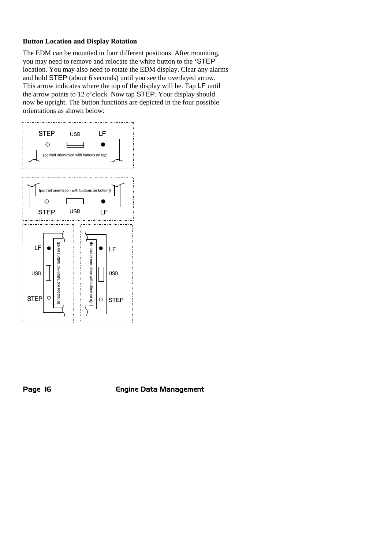#### **Button Location and Display Rotation**

The EDM can be mounted in four different positions. After mounting, you may need to remove and relocate the white button to the 'STEP' location. You may also need to rotate the EDM display. Clear any alarms and hold STEP (about 6 seconds) until you see the overlayed arrow. This arrow indicates where the top of the display will be. Tap LF until the arrow points to 12 o'clock. Now tap STEP. Your display should now be upright. The button functions are depicted in the four possible orientations as shown below:



Page 16 **Engine Data Management**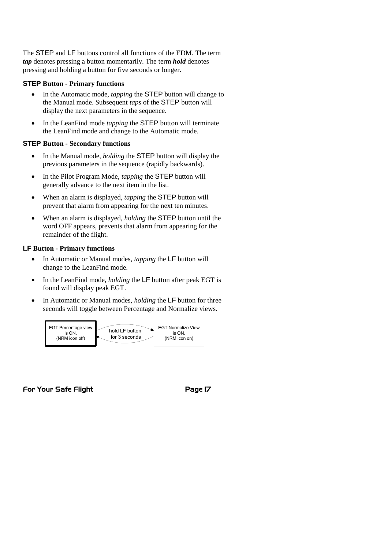The STEP and LF buttons control all functions of the EDM. The term *tap* denotes pressing a button momentarily. The term *hold* denotes pressing and holding a button for five seconds or longer.

#### **STEP Button - Primary functions**

- In the Automatic mode, *tapping* the **STEP** button will change to the Manual mode. Subsequent *taps* of the STEP button will display the next parameters in the sequence.
- In the LeanFind mode *tapping* the STEP button will terminate the LeanFind mode and change to the Automatic mode.

## **STEP Button - Secondary functions**

- In the Manual mode, *holding* the STEP button will display the previous parameters in the sequence (rapidly backwards).
- In the Pilot Program Mode, *tapping* the **STEP** button will generally advance to the next item in the list.
- When an alarm is displayed, *tapping* the STEP button will prevent that alarm from appearing for the next ten minutes.
- When an alarm is displayed, *holding* the STEP button until the word OFF appears, prevents that alarm from appearing for the remainder of the flight.

## **LF Button - Primary functions**

- In Automatic or Manual modes, *tapping* the LF button will change to the LeanFind mode.
- In the LeanFind mode, *holding* the LF button after peak EGT is found will display peak EGT.
- In Automatic or Manual modes, *holding* the LF button for three seconds will toggle between Percentage and Normalize views.

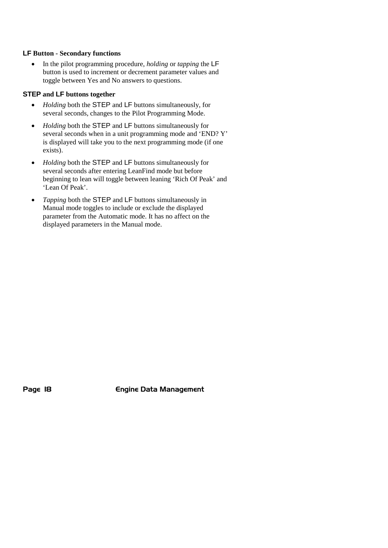#### **LF Button - Secondary functions**

 In the pilot programming procedure, *holding* or *tapping* the LF button is used to increment or decrement parameter values and toggle between Yes and No answers to questions.

## **STEP and LF buttons together**

- *Holding* both the **STEP** and LF buttons simultaneously, for several seconds, changes to the Pilot Programming Mode.
- *Holding* both the **STEP** and LF buttons simultaneously for several seconds when in a unit programming mode and 'END? Y' is displayed will take you to the next programming mode (if one exists).
- *Holding* both the **STEP** and LF buttons simultaneously for several seconds after entering LeanFind mode but before beginning to lean will toggle between leaning 'Rich Of Peak' and 'Lean Of Peak'.
- *Tapping* both the STEP and LF buttons simultaneously in Manual mode toggles to include or exclude the displayed parameter from the Automatic mode. It has no affect on the displayed parameters in the Manual mode.

Page 18 **Engine Data Management**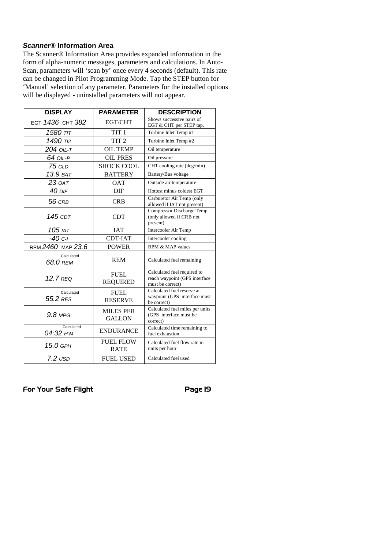## *Scanner®* **Information Area**

The Scanner® Information Area provides expanded information in the form of alpha-numeric messages, parameters and calculations. In Auto-Scan, parameters will 'scan by' once every 4 seconds (default). This rate can be changed in Pilot Programming Mode. Tap the STEP button for 'Manual' selection of any parameter. Parameters for the installed options will be displayed - uninstalled parameters will not appear.

| <b>DISPLAY</b>          | <b>PARAMETER</b>                  | <b>DESCRIPTION</b>                                                               |
|-------------------------|-----------------------------------|----------------------------------------------------------------------------------|
| EGT 1436 CHT 382        | EGT/CHT                           | Shows successive pairs of<br>EGT & CHT per STEP tap.                             |
| דוד 1580                | TIT <sub>1</sub>                  | Turbine Inlet Temp #1                                                            |
| 1490 T <sub>12</sub>    | TIT <sub>2</sub>                  | Turbine Inlet Temp #2                                                            |
| 204 OIL-T               | <b>OIL TEMP</b>                   | Oil temperature                                                                  |
| 64 OIL-P                | <b>OIL PRES</b>                   | Oil pressure                                                                     |
| <b>75 CLD</b>           | <b>SHOCK COOL</b>                 | CHT cooling rate (deg/min)                                                       |
| 13.9 ват                | <b>BATTERY</b>                    | Battery/Bus voltage                                                              |
| 23 оат                  | <b>OAT</b>                        | Outside air temperature                                                          |
| 40 DIF                  | DIF                               | Hottest minus coldest EGT                                                        |
| 56 CRB                  | <b>CRB</b>                        | Carburetor Air Temp (only<br>allowed if IAT not present)                         |
| 145 CDT                 | <b>CDT</b>                        | Compressor Discharge Temp<br>(only allowed if CRB not<br>present)                |
| 105 IAT                 | <b>IAT</b>                        | Intercooler Air Temp                                                             |
| $-40c-1$                | CDT-IAT                           | Intercooler cooling                                                              |
| RPM 2460 MAP 23.6       | <b>POWER</b>                      | RPM & MAP values                                                                 |
| Calculated<br>68.0 REM  | <b>REM</b>                        | Calculated fuel remaining                                                        |
| $12.7$ RFQ              | <b>FUEL</b><br><b>REQUIRED</b>    | Calculated fuel required to<br>reach waypoint (GPS interface<br>must be correct) |
| Calculated<br>55.2 RES  | <b>FUEL</b><br><b>RESERVE</b>     | Calculated fuel reserve at<br>waypoint (GPS interface must<br>be correct)        |
| $9.8$ MPG               | <b>MILES PER</b><br><b>GALLON</b> | Calculated fuel miles per units<br>(GPS interface must be<br>correct)            |
| Calculated<br>04:32 н:м | <b>ENDURANCE</b>                  | Calculated time remaining to<br>fuel exhaustion                                  |
| 15.0 GPH                | <b>FUEL FLOW</b><br><b>RATE</b>   | Calculated fuel flow rate in<br>units per hour                                   |
| $7.2$ $USD$             | <b>FUEL USED</b>                  | Calculated fuel used                                                             |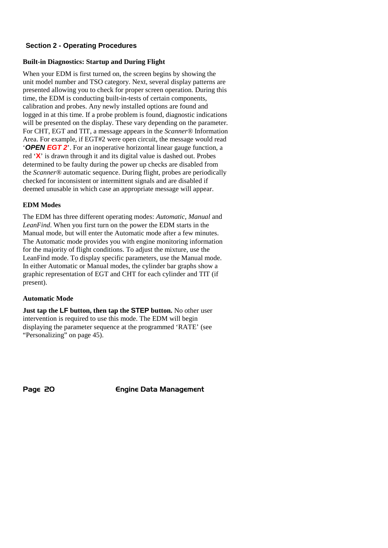## **Section 2 - Operating Procedures**

# **Built-in Diagnostics: Startup and During Flight**

When your EDM is first turned on, the screen begins by showing the unit model number and TSO category. Next, several display patterns are presented allowing you to check for proper screen operation. During this time, the EDM is conducting built-in-tests of certain components, calibration and probes. Any newly installed options are found and logged in at this time. If a probe problem is found, diagnostic indications will be presented on the display. These vary depending on the parameter. For CHT, EGT and TIT, a message appears in the *Scanner®* Information Area. For example, if EGT#2 were open circuit, the message would read '*OPEN EGT 2*'. For an inoperative horizontal linear gauge function, a red '**X**' is drawn through it and its digital value is dashed out. Probes determined to be faulty during the power up checks are disabled from the *Scanner®* automatic sequence. During flight, probes are periodically checked for inconsistent or intermittent signals and are disabled if deemed unusable in which case an appropriate message will appear.

# **EDM Modes**

The EDM has three different operating modes: *Automatic*, *Manual* and *LeanFind*. When you first turn on the power the EDM starts in the Manual mode, but will enter the Automatic mode after a few minutes. The Automatic mode provides you with engine monitoring information for the majority of flight conditions. To adjust the mixture, use the LeanFind mode. To display specific parameters, use the Manual mode. In either Automatic or Manual modes, the cylinder bar graphs show a graphic representation of EGT and CHT for each cylinder and TIT (if present).

# **Automatic Mode**

**Just tap the LF button, then tap the STEP button.** No other user intervention is required to use this mode. The EDM will begin displaying the parameter sequence at the programmed 'RATE' (see "Personalizing" on page 45).

Page 20 **Engine Data Management**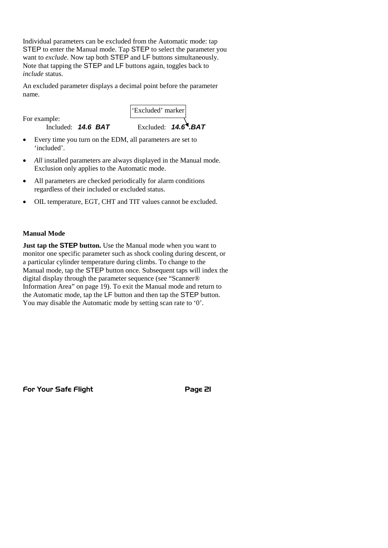Individual parameters can be excluded from the Automatic mode: tap STEP to enter the Manual mode. Tap STEP to select the parameter you want to *exclude*. Now tap both STEP and LF buttons simultaneously. Note that tapping the STEP and LF buttons again, toggles back to *include* status.

An excluded parameter displays a decimal point before the parameter name.

For example:

'included'.

'Excluded' marker

Included: **14.6 BAT** Excluded: **14.6 BAT** 

Every time you turn on the EDM, all parameters are set to

- *All* installed parameters are always displayed in the Manual mode. Exclusion only applies to the Automatic mode.
- All parameters are checked periodically for alarm conditions regardless of their included or excluded status.
- OIL temperature, EGT, CHT and TIT values cannot be excluded.

## **Manual Mode**

**Just tap the STEP button.** Use the Manual mode when you want to monitor one specific parameter such as shock cooling during descent, or a particular cylinder temperature during climbs. To change to the Manual mode, tap the STEP button once. Subsequent taps will index the digital display through the parameter sequence (see "Scanner® Information Area" on page 19). To exit the Manual mode and return to the Automatic mode, tap the LF button and then tap the STEP button. You may disable the Automatic mode by setting scan rate to '0'.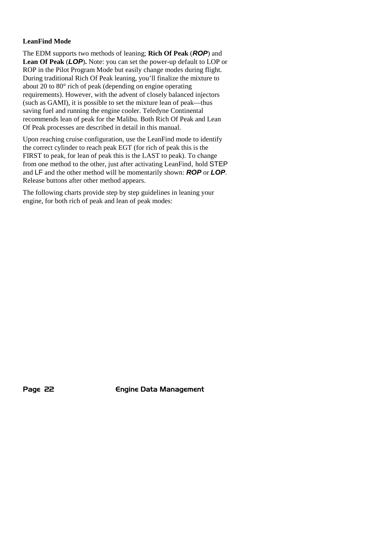## **LeanFind Mode**

The EDM supports two methods of leaning; **Rich Of Peak** (*ROP*) and **Lean Of Peak** (*LOP*)**.** Note: you can set the power-up default to LOP or ROP in the Pilot Program Mode but easily change modes during flight. During traditional Rich Of Peak leaning, you'll finalize the mixture to about 20 to 80° rich of peak (depending on engine operating requirements). However, with the advent of closely balanced injectors (such as GAMI), it is possible to set the mixture lean of peak—thus saving fuel and running the engine cooler. Teledyne Continental recommends lean of peak for the Malibu. Both Rich Of Peak and Lean Of Peak processes are described in detail in this manual.

Upon reaching cruise configuration, use the LeanFind mode to identify the correct cylinder to reach peak EGT (for rich of peak this is the FIRST to peak, for lean of peak this is the LAST to peak). To change from one method to the other, just after activating LeanFind, hold STEP and LF and the other method will be momentarily shown: *ROP* or *LOP*. Release buttons after other method appears.

The following charts provide step by step guidelines in leaning your engine, for both rich of peak and lean of peak modes:

Page 22 **Engine Data Management**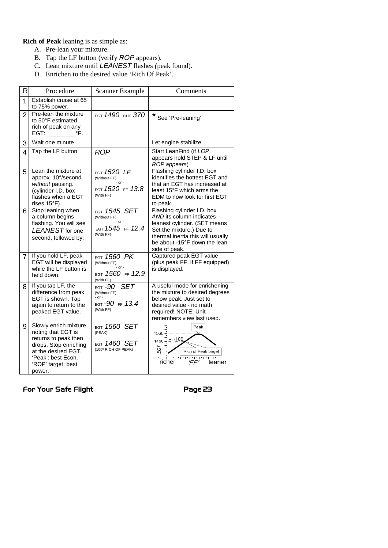**Rich of Peak** leaning is as simple as:

- A. Pre-lean your mixture.
- B. Tap the LF button (verify *ROP* appears).
- C. Lean mixture until *LEANEST* flashes *(*peak found).
- D. Enrichen to the desired value 'Rich Of Peak'.

| RI             | Procedure                                                                                                                                                                 | Scanner Example                                                                               | Comments                                                                                                                                                                                                 |
|----------------|---------------------------------------------------------------------------------------------------------------------------------------------------------------------------|-----------------------------------------------------------------------------------------------|----------------------------------------------------------------------------------------------------------------------------------------------------------------------------------------------------------|
| 1              | Establish cruise at 65<br>to 75% power.                                                                                                                                   |                                                                                               |                                                                                                                                                                                                          |
| $\overline{2}$ | Pre-lean the mixture<br>to 50°F estimated<br>rich of peak on any<br>°F.<br>EGT:                                                                                           | EGT 1490 CHT 370                                                                              | *<br>See 'Pre-leaning'                                                                                                                                                                                   |
| 3              | Wait one minute                                                                                                                                                           |                                                                                               | Let engine stabilize.                                                                                                                                                                                    |
| 4              | Tap the LF button                                                                                                                                                         | <b>ROP</b>                                                                                    | Start LeanFind (if LOP<br>appears hold STEP & LF until<br>ROP appears)                                                                                                                                   |
| 5              | Lean the mixture at<br>approx. 10°/second<br>without pausing.<br>(cylinder I.D. box<br>flashes when a EGT<br>rises $15^{\circ}$ F)                                        | EGT 1520 LF<br>(Without FF)<br>$-$ or $-$<br>EGT 1520 FF 13.8<br>(With FF)                    | Flashing cylinder I.D. box<br>identifies the hottest EGT and<br>that an EGT has increased at<br>least 15°F which arms the<br>EDM to now look for first EGT<br>to peak.                                   |
| 6              | Stop leaning when<br>a column begins<br>flashing. You will see<br>LEANEST for one<br>second, followed by:                                                                 | EGT 1545 SET<br>(Without FF)<br>$-$ or $-$<br>EGT 1545 FF 12.4<br>(With FF)                   | Flashing cylinder I.D. box<br>AND its column indicates<br>leanest cylinder. (SET means<br>Set the mixture.) Due to<br>thermal inertia this will usually<br>be about -15°F down the lean<br>side of peak. |
| $\overline{7}$ | If you hold LF, peak<br>EGT will be displayed<br>while the LF button is<br>held down.                                                                                     | EGT 1560 PK<br>(Without FF)<br>- or -<br>EGT 1560 FF 12.9<br>(With FF)                        | Captured peak EGT value<br>(plus peak FF, if FF equipped)<br>is displayed.                                                                                                                               |
| 8              | If you tap LF, the<br>difference from peak<br>EGT is shown. Tap<br>again to return to the<br>peaked EGT value.                                                            | <b>SET</b><br><sub>ест</sub> -90<br>(Without FF)<br>$-$ or $-$<br>EGT-90 FF 13.4<br>(With FF) | A useful mode for enrichening<br>the mixture to desired degrees<br>below peak. Just set to<br>desired value - no math<br>required! NOTE: Unit<br>remembers view last used.                               |
| 9              | Slowly enrich mixture<br>noting that EGT is<br>returns to peak then<br>drops. Stop enriching<br>at the desired EGT.<br>'Peak': best Econ.<br>'ROP' target: best<br>power. | EGT 1560 SET<br>(PEAK)<br>$_{\rm EGT}$ 1460 SET<br>(100° RICH OF PEAK)                        | Peak<br>$1560 -$<br>$1460 \frac{1}{4}$ 100<br>EGT<br>Rich of Peak target<br>richer<br>leaner<br>'FF'                                                                                                     |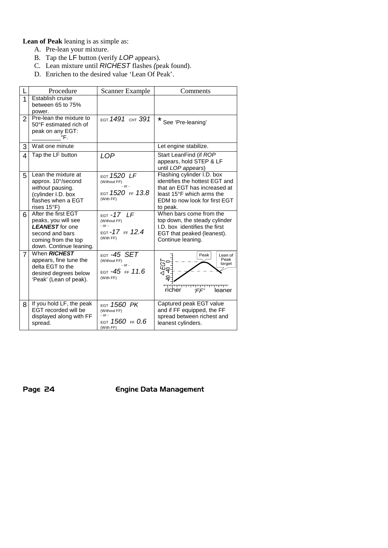**Lean of Peak** leaning is as simple as:

- A. Pre-lean your mixture.
- B. Tap the LF button (verify *LOP* appears).
- C. Lean mixture until *RICHEST* flashes *(*peak found).
- D. Enrichen to the desired value 'Lean Of Peak'.

|                | Procedure                                                                                                                                 | Scanner Example                                                                              | Comments                                                                                                                                                               |
|----------------|-------------------------------------------------------------------------------------------------------------------------------------------|----------------------------------------------------------------------------------------------|------------------------------------------------------------------------------------------------------------------------------------------------------------------------|
| 1              | Establish cruise<br>between 65 to 75%<br>power.                                                                                           |                                                                                              |                                                                                                                                                                        |
| $\overline{2}$ | Pre-lean the mixture to<br>50°F estimated rich of<br>peak on any EGT:<br>°F.                                                              | EGT 1491 CHT 391                                                                             | *<br>See 'Pre-leaning'                                                                                                                                                 |
| 3              | Wait one minute                                                                                                                           |                                                                                              | Let engine stabilize.                                                                                                                                                  |
| $\overline{4}$ | Tap the LF button                                                                                                                         | <b>LOP</b>                                                                                   | Start LeanFind (if ROP<br>appears, hold STEP & LF<br>until LOP appears)                                                                                                |
| 5              | Lean the mixture at<br>approx. 10°/second<br>without pausing.<br>(cylinder I.D. box<br>flashes when a EGT<br>rises $15^{\circ}$ F)        | $_{\texttt{EGT}}$ 1520 LF<br>(Without FF)<br>$-$ or $-$<br>EGT $1520$ FF $13.8$<br>(With FF) | Flashing cylinder I.D. box<br>identifies the hottest EGT and<br>that an EGT has increased at<br>least 15°F which arms the<br>EDM to now look for first EGT<br>to peak. |
| 6              | After the first EGT<br>peaks, you will see<br><b>LEANEST</b> for one<br>second and bars<br>coming from the top<br>down. Continue leaning. | EGT-17 LF<br>(Without FF)<br>$-$ or $-$<br>EGT-17 FF 12.4<br>(With FF)                       | When bars come from the<br>top down, the steady cylinder<br>I.D. box identifies the first<br>EGT that peaked (leanest).<br>Continue leaning.                           |
| $\overline{7}$ | When <b>RICHEST</b><br>appears, fine tune the<br>delta EGT to the<br>desired degrees below<br>'Peak' (Lean of peak).                      | EGT -45 SET<br>(Without FF)<br>$-$ or $-$<br>EGT $-45$ FF $11.6$<br>(With FF)                | Peak<br>Lean of<br>Peak<br>ò.<br>target<br>$-55$<br>◁<br>richer<br>leaner<br>ΈF                                                                                        |
| 8              | If you hold LF, the peak<br>EGT recorded will be<br>displayed along with FF<br>spread.                                                    | $_{\texttt{EGT}}$ 1560 PK<br>(Without FF)<br>$-$ or $-$<br>EGT 1560 FF $0.6$<br>(With FF)    | Captured peak EGT value<br>and if FF equipped, the FF<br>spread between richest and<br>leanest cylinders.                                                              |

Page 24 **Engine Data Management**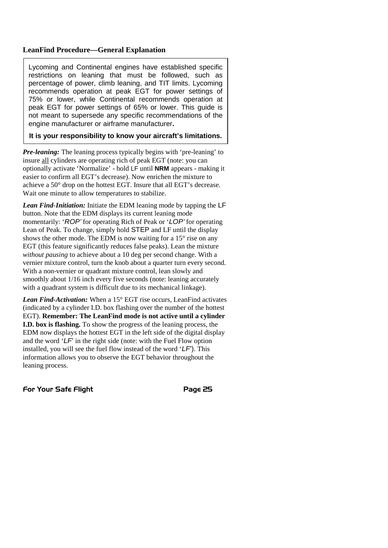## **LeanFind Procedure—General Explanation**

Lycoming and Continental engines have established specific restrictions on leaning that must be followed, such as percentage of power, climb leaning, and TIT limits. Lycoming recommends operation at peak EGT for power settings of 75% or lower, while Continental recommends operation at peak EGT for power settings of 65% or lower. This guide is not meant to supersede any specific recommendations of the engine manufacturer or airframe manufacturer**.**

#### **It is your responsibility to know your aircraft's limitations.**

*Pre-leaning:* The leaning process typically begins with 'pre-leaning' to insure all cylinders are operating rich of peak EGT (note: you can optionally activate 'Normalize' - hold LF until **NRM** appears - making it easier to confirm all EGT's decrease). Now enrichen the mixture to achieve a 50° drop on the hottest EGT. Insure that all EGT's decrease. Wait one minute to allow temperatures to stabilize.

*Lean Find-Initiation:* Initiate the EDM leaning mode by tapping the LF button. Note that the EDM displays its current leaning mode momentarily: '*ROP'* for operating Rich of Peak or '*LOP'* for operating Lean of Peak. To change, simply hold STEP and LF until the display shows the other mode. The EDM is now waiting for a 15° rise on any EGT (this feature significantly reduces false peaks). Lean the mixture *without pausing* to achieve about a 10 deg per second change. With a vernier mixture control, turn the knob about a quarter turn every second. With a non-vernier or quadrant mixture control, lean slowly and smoothly about 1/16 inch every five seconds (note: leaning accurately with a quadrant system is difficult due to its mechanical linkage).

*Lean Find-Activation:* When a 15° EGT rise occurs, LeanFind activates (indicated by a cylinder I.D. box flashing over the number of the hottest EGT). **Remember: The LeanFind mode is not active until a cylinder I.D. box is flashing.** To show the progress of the leaning process, the EDM now displays the hottest EGT in the left side of the digital display and the word  $\hat{L}F$  in the right side (note: with the Fuel Flow option installed, you will see the fuel flow instead of the word '*LF*'). This information allows you to observe the EGT behavior throughout the leaning process.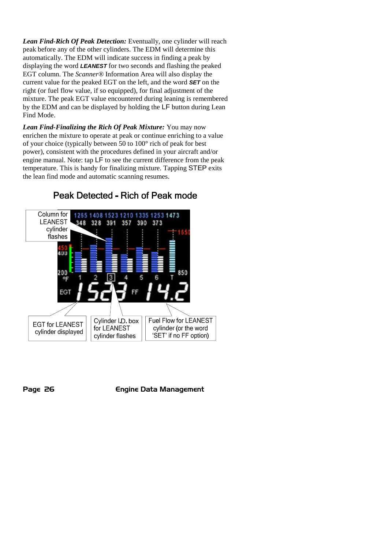*Lean Find-Rich Of Peak Detection:* Eventually, one cylinder will reach peak before any of the other cylinders. The EDM will determine this automatically. The EDM will indicate success in finding a peak by displaying the word *LEANEST* for two seconds and flashing the peaked EGT column. The *Scanner®* Information Area will also display the current value for the peaked EGT on the left, and the word *SET* on the right (or fuel flow value, if so equipped), for final adjustment of the mixture. The peak EGT value encountered during leaning is remembered by the EDM and can be displayed by holding the LF button during Lean Find Mode.

*Lean Find-Finalizing the Rich Of Peak Mixture:* You may now enrichen the mixture to operate at peak or continue enriching to a value of your choice (typically between 50 to 100° rich of peak for best power), consistent with the procedures defined in your aircraft and/or engine manual. Note: tap LF to see the current difference from the peak temperature. This is handy for finalizing mixture. Tapping STEP exits the lean find mode and automatic scanning resumes.

#### Column for 1265 1408 1523 1210 1335 1253 1473 **LEANEST** 328 391 357 390 373 348 cylinder flashes **A**<sub>TH</sub> 200 Cylinder I.D. box Fuel Flow for LEANEST **EGT for LEANEST** cylinder (or the word for LEANEST cylinder displayed cylinder flashes 'SET' if no FF option)

# Peak Detected - Rich of Peak mode

Page 26 **Engine Data Management**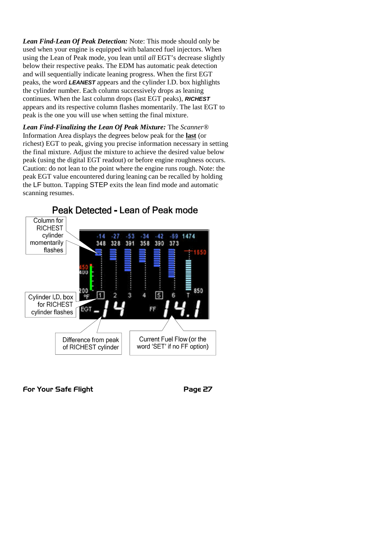*Lean Find-Lean Of Peak Detection:* Note: This mode should only be used when your engine is equipped with balanced fuel injectors. When using the Lean of Peak mode, you lean until *all* EGT's decrease slightly below their respective peaks. The EDM has automatic peak detection and will sequentially indicate leaning progress. When the first EGT peaks, the word *LEANEST* appears and the cylinder I.D. box highlights the cylinder number. Each column successively drops as leaning continues. When the last column drops (last EGT peaks), *RICHEST* appears and its respective column flashes momentarily. The last EGT to peak is the one you will use when setting the final mixture.

*Lean Find-Finalizing the Lean Of Peak Mixture:* The *Scanner®* Information Area displays the degrees below peak for the **last** (or richest) EGT to peak, giving you precise information necessary in setting the final mixture. Adjust the mixture to achieve the desired value below peak (using the digital EGT readout) or before engine roughness occurs. Caution: do not lean to the point where the engine runs rough. Note: the peak EGT value encountered during leaning can be recalled by holding the LF button. Tapping STEP exits the lean find mode and automatic scanning resumes.

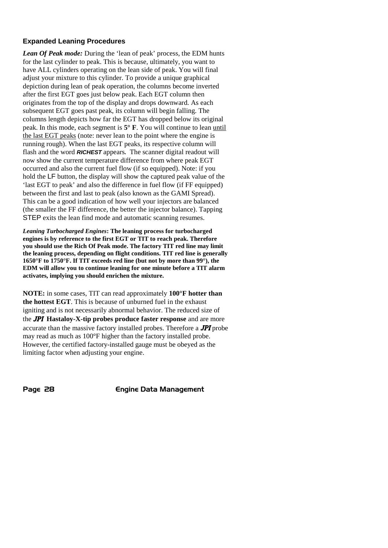## **Expanded Leaning Procedures**

*Lean Of Peak mode:* During the 'lean of peak' process, the EDM hunts for the last cylinder to peak. This is because, ultimately, you want to have ALL cylinders operating on the lean side of peak. You will final adjust your mixture to this cylinder. To provide a unique graphical depiction during lean of peak operation, the columns become inverted after the first EGT goes just below peak. Each EGT column then originates from the top of the display and drops downward. As each subsequent EGT goes past peak, its column will begin falling. The columns length depicts how far the EGT has dropped below its original peak. In this mode, each segment is **5° F**. You will continue to lean until the last EGT peaks (note: never lean to the point where the engine is running rough). When the last EGT peaks, its respective column will flash and the word *RICHEST* appears*.* The scanner digital readout will now show the current temperature difference from where peak EGT occurred and also the current fuel flow (if so equipped). Note: if you hold the LF button, the display will show the captured peak value of the 'last EGT to peak' and also the difference in fuel flow (if FF equipped) between the first and last to peak (also known as the GAMI Spread). This can be a good indication of how well your injectors are balanced (the smaller the FF difference, the better the injector balance). Tapping STEP exits the lean find mode and automatic scanning resumes.

*Leaning Turbocharged Engines***: The leaning process for turbocharged engines is by reference to the first EGT or TIT to reach peak. Therefore you should use the Rich Of Peak mode. The factory TIT red line may limit the leaning process, depending on flight conditions. TIT red line is generally 1650°F to 1750°F. If TIT exceeds red line (but not by more than 99°), the EDM will allow you to continue leaning for one minute before a TIT alarm activates, implying you should enrichen the mixture.**

**NOTE:** in some cases, TIT can read approximately **100°F hotter than the hottest EGT**. This is because of unburned fuel in the exhaust igniting and is not necessarily abnormal behavior. The reduced size of the JPI **Hastaloy-X-tip probes produce faster response** and are more accurate than the massive factory installed probes. Therefore a JPI probe may read as much as 100°F higher than the factory installed probe. However, the certified factory-installed gauge must be obeyed as the limiting factor when adjusting your engine.

Page 28 **Engine Data Management**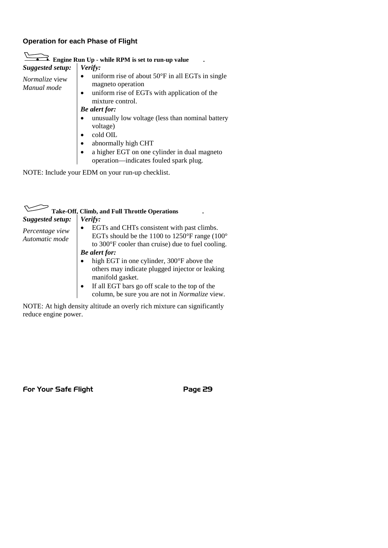# **Operation for each Phase of Flight**

| Suggested setup:                | Verify:                                                                                                                                                                    |
|---------------------------------|----------------------------------------------------------------------------------------------------------------------------------------------------------------------------|
| Normalize view  <br>Manual mode | $\bullet$ uniform rise of about 50 $\degree$ F in all EGTs in single<br>magneto operation<br>uniform rise of EGTs with application of the<br>$\bullet$<br>mixture control. |
|                                 | <b>Be</b> alert for:                                                                                                                                                       |
|                                 | unusually low voltage (less than nominal battery<br>voltage)<br>cold OIL<br>abnormally high CHT<br>• a higher EGT on one cylinder in dual magneto                          |
|                                 | operation-indicates fouled spark plug.                                                                                                                                     |

|                                                       | <b>Take-Off, Climb, and Full Throttle Operations</b>                                                                                                                                                                              |
|-------------------------------------------------------|-----------------------------------------------------------------------------------------------------------------------------------------------------------------------------------------------------------------------------------|
| Suggested setup:<br>Percentage view<br>Automatic mode | Verify:<br>EGTs and CHTs consistent with past climbs.<br>$\bullet$<br>EGTs should be the 1100 to 1250°F range (100°<br>to 300°F cooler than cruise) due to fuel cooling.<br><b>Be</b> alert for:                                  |
|                                                       | high EGT in one cylinder, 300°F above the<br>others may indicate plugged injector or leaking<br>manifold gasket.<br>If all EGT bars go off scale to the top of the<br>$\bullet$<br>column, be sure you are not in Normalize view. |

NOTE: At high density altitude an overly rich mixture can significantly reduce engine power.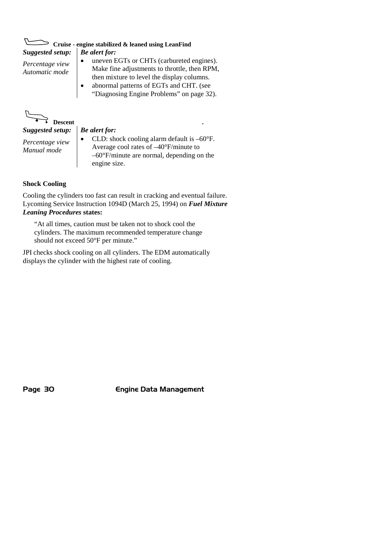| Cruise - engine stabilized & leaned using LeanFind |                                                                                                                                                                                                                                      |  |  |  |
|----------------------------------------------------|--------------------------------------------------------------------------------------------------------------------------------------------------------------------------------------------------------------------------------------|--|--|--|
| <b>Suggested setup:</b>                            | <b>Be</b> alert for:                                                                                                                                                                                                                 |  |  |  |
| Percentage view<br>Automatic mode                  | uneven EGTs or CHTs (carbureted engines).<br>Make fine adjustments to throttle, then RPM,<br>then mixture to level the display columns.<br>abnormal patterns of EGTs and CHT. (see<br>٠<br>"Diagnosing Engine Problems" on page 32). |  |  |  |
| Descent                                            |                                                                                                                                                                                                                                      |  |  |  |
| Suggested setup:                                   | <b>Be</b> alert for:                                                                                                                                                                                                                 |  |  |  |
| Percentage view                                    | CLD: shock cooling alarm default is $-60^{\circ}$ F.<br>$\lambda$ . The state of $A\Omega\mathbb{R}$ is the state                                                                                                                    |  |  |  |

Average cool rates of –40°F/minute to –60°F/minute are normal, depending on the engine size.

#### **Shock Cooling**

*Manual mode*

Cooling the cylinders too fast can result in cracking and eventual failure. Lycoming Service Instruction 1094D (March 25, 1994) on *Fuel Mixture Leaning Procedures* **states:**

"At all times, caution must be taken not to shock cool the cylinders. The maximum recommended temperature change should not exceed 50°F per minute."

JPI checks shock cooling on all cylinders. The EDM automatically displays the cylinder with the highest rate of cooling.

Page 30 **Engine Data Management**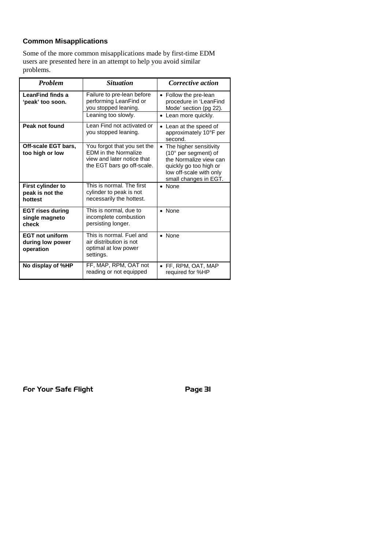# **Common Misapplications**

Some of the more common misapplications made by first-time EDM users are presented here in an attempt to help you avoid similar problems.

| <b>Problem</b>                                          | <b>Situation</b>                                                                                                       | Corrective action                                                                                                                                        |
|---------------------------------------------------------|------------------------------------------------------------------------------------------------------------------------|----------------------------------------------------------------------------------------------------------------------------------------------------------|
| LeanFind finds a<br>'peak' too soon.                    | Failure to pre-lean before<br>performing LeanFind or<br>you stopped leaning.<br>Leaning too slowly.                    | • Follow the pre-lean<br>procedure in 'LeanFind<br>Mode' section (pg 22).<br>Lean more quickly.                                                          |
| Peak not found                                          | Lean Find not activated or<br>you stopped leaning.                                                                     | Lean at the speed of<br>approximately 10°F per<br>second.                                                                                                |
| Off-scale EGT bars,<br>too high or low                  | You forgot that you set the<br><b>EDM</b> in the Normalize<br>view and later notice that<br>the EGT bars go off-scale. | • The higher sensitivity<br>(10° per segment) of<br>the Normalize view can<br>quickly go too high or<br>low off-scale with only<br>small changes in EGT. |
| First cylinder to<br>peak is not the<br>hottest         | This is normal. The first<br>cylinder to peak is not<br>necessarily the hottest.                                       | • None                                                                                                                                                   |
| <b>EGT rises during</b><br>single magneto<br>check      | This is normal, due to<br>incomplete combustion<br>persisting longer.                                                  | • None                                                                                                                                                   |
| <b>EGT not uniform</b><br>during low power<br>operation | This is normal. Fuel and<br>air distribution is not<br>optimal at low power<br>settings.                               | • None                                                                                                                                                   |
| No display of %HP                                       | FF, MAP, RPM, OAT not<br>reading or not equipped                                                                       | • FF, RPM, OAT, MAP<br>required for %HP                                                                                                                  |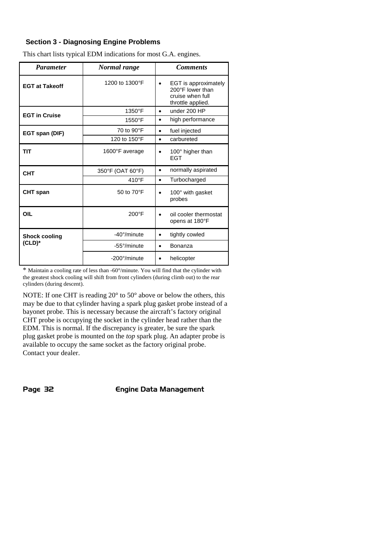## **Section 3 - Diagnosing Engine Problems**

| <b>Parameter</b>      | Normal range          | <b>Comments</b>                                                                                |
|-----------------------|-----------------------|------------------------------------------------------------------------------------------------|
| <b>EGT at Takeoff</b> | 1200 to 1300°F        | EGT is approximately<br>$\bullet$<br>200°F lower than<br>cruise when full<br>throttle applied. |
| <b>EGT in Cruise</b>  | 1350°F                | under 200 HP<br>$\bullet$                                                                      |
|                       | 1550°F                | high performance<br>٠                                                                          |
| EGT span (DIF)        | 70 to 90°F            | fuel injected<br>٠                                                                             |
|                       | 120 to 150°F          | carbureted<br>$\bullet$                                                                        |
| TIT                   | 1600°F average        | 100° higher than<br><b>FGT</b>                                                                 |
| <b>CHT</b>            | 350°F (OAT 60°F)      | normally aspirated<br>٠                                                                        |
|                       | $410^{\circ}$ F       | Turbocharged<br>$\bullet$                                                                      |
| <b>CHT</b> span       | 50 to 70°F            | 100° with gasket<br>probes                                                                     |
| OIL                   | $200^{\circ}$ F       | oil cooler thermostat<br>opens at 180°F                                                        |
| <b>Shock cooling</b>  | $-40^{\circ}/$ minute | tightly cowled                                                                                 |
| $(CLD)*$              | -55°/minute           | Bonanza<br>٠                                                                                   |
|                       | -200°/minute          | helicopter                                                                                     |

This chart lists typical EDM indications for most G.A. engines.

\* Maintain a cooling rate of less than -60°/minute. You will find that the cylinder with the greatest shock cooling will shift from front cylinders (during climb out) to the rear cylinders (during descent).

NOTE: If one CHT is reading 20° to 50° above or below the others, this may be due to that cylinder having a spark plug gasket probe instead of a bayonet probe. This is necessary because the aircraft's factory original CHT probe is occupying the socket in the cylinder head rather than the EDM. This is normal. If the discrepancy is greater, be sure the spark plug gasket probe is mounted on the *top* spark plug. An adapter probe is available to occupy the same socket as the factory original probe. Contact your dealer.

Page 32 **Engine Data Management**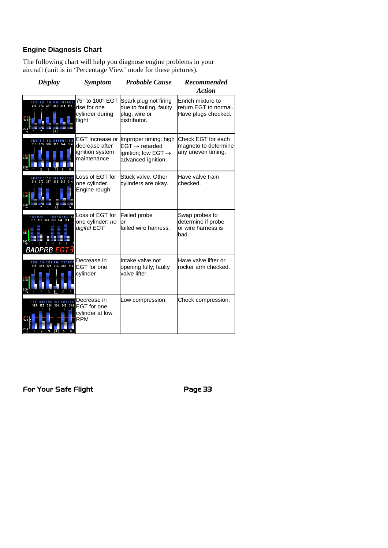# **Engine Diagnosis Chart**

The following chart will help you diagnose engine problems in your aircraft (unit is in 'Percentage View' mode for these pictures).

| <b>Display</b>                                                   | Symptom                                                             | <b>Probable Cause</b>                                                                                        | Recommended<br><b>Action</b>                                       |
|------------------------------------------------------------------|---------------------------------------------------------------------|--------------------------------------------------------------------------------------------------------------|--------------------------------------------------------------------|
| 1333 1286 1359 1659 1313 1433<br>315 373 327 314 344 314         | 75° to 100° EGT<br>rise for one<br>cylinder during<br>flight        | Spark plug not firing<br>due to fouling, faulty<br>plug, wire or<br>distributor.                             | Enrich mixture to<br>return EGT to normal.<br>Have plugs checked.  |
| 1611 1562 1584 1561 1636<br>373 326 313 344 314                  | EGT Increase or<br>decrease after<br>ignition system<br>maintenance | Improper timing: high<br>$EGT \rightarrow$ retarded<br>ignition; low EGT $\rightarrow$<br>advanced ignition. | Check EGT for each<br>magneto to determine<br>any uneven timing.   |
| 1562 1637<br>610 1561<br>586<br>372 327 313 345 314              | Loss of EGT for<br>one cylinder.<br>Engine rough                    | Stuck valve, Other<br>cylinders are okay.                                                                    | Have valve train<br>checked.                                       |
| 1561 1562 1637 69<br>1610<br>373 328 313 344<br><b>BADPRB EG</b> | Loss of EGT for<br>one cylinder; no<br>digital EGT                  | Failed probe<br>or<br>failed wire harness.                                                                   | Swap probes to<br>determine if probe<br>or wire harness is<br>bad. |
| 1610 1561 998 1562 1637<br>373 328 314 346<br>314<br>400         | Decrease in<br><b>EGT</b> for one<br>cylinder                       | Intake valve not<br>opening fully; faulty<br>valve lifter.                                                   | Have valve lifter or<br>rocker arm checked.                        |
| 1562 1637<br>1610 1561<br>998<br>373 328<br>314<br>346<br>314    | Decrease in<br><b>EGT</b> for one<br>cylinder at low<br><b>RPM</b>  | Low compression.                                                                                             | Check compression.                                                 |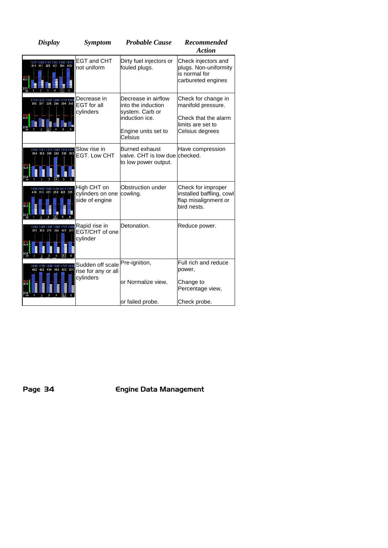| <b>EGT and CHT</b><br>Dirty fuel injectors or<br>1237 1658 1140 1561 1385 1818<br>314 411 325 421 304 403<br>not uniform<br>fouled plugs.                                                                            | Check injectors and<br>plugs. Non-uniformity<br>is normal for<br>carbureted engines                       |
|----------------------------------------------------------------------------------------------------------------------------------------------------------------------------------------------------------------------|-----------------------------------------------------------------------------------------------------------|
|                                                                                                                                                                                                                      |                                                                                                           |
| Decrease in airflow<br>Decrease in<br>212 1187 1044 1115 1069<br>371 328 394 304 242<br><b>EGT</b> for all<br>into the induction<br>cylinders<br>system. Carb or<br>induction ice.<br>Engine units set to<br>Celsius | Check for change in<br>manifold pressure.<br>Check that the alarm<br>limits are set to<br>Celsius degrees |
| Slow rise in<br><b>Burned exhaust</b><br>310 1311 1311 1695 1312 1311<br>363 395 260 336 363<br><b>EGT. Low CHT</b><br>to low power output.                                                                          | Have compression<br>valve. CHT is low due checked.                                                        |
| Obstruction under<br>High CHT on<br>1582 1582 1609 1611 1561<br>314 431 268 426 305<br>cylinders on one<br>cowling.<br>side of engine                                                                                | Check for improper<br>installed baffling, cowl<br>flap misalignment or<br>bird nests.                     |
| Detonation.<br>Rapid rise in<br>1383 1385 1385 1385 1737 1385<br>372 363 372 362 421 371<br>EGT/CHT of one<br>cylinder                                                                                               | Reduce power.                                                                                             |
| Pre-ignition,<br>Sudden off scale<br>1735 1686 1687 1737 1638<br>422 404 403 423<br>37<br>rise for any or all<br>cylinders<br>or Normalize view,<br>or failed probe.                                                 | Full rich and reduce<br>power,<br>Change to<br>Percentage view,<br>Check probe.                           |

Page 34 Engine Data Management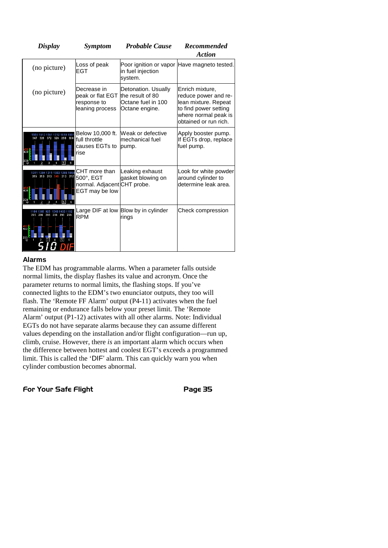| <b>Display</b>                                             | <b>Symptom</b>                                                                     | <b>Probable Cause</b>                                       | <b>Recommended</b>                                                                                                                        |
|------------------------------------------------------------|------------------------------------------------------------------------------------|-------------------------------------------------------------|-------------------------------------------------------------------------------------------------------------------------------------------|
|                                                            |                                                                                    |                                                             | <b>Action</b>                                                                                                                             |
| (no picture)                                               | Loss of peak<br>EGT                                                                | in fuel injection<br>system.                                | Poor ignition or vapor Have magneto tested.                                                                                               |
| (no picture)                                               | Decrease in<br>peak or flat EGT the result of 80<br>response to<br>leaning process | Detonation. Usually<br>Octane fuel in 100<br>Octane engine. | Enrich mixture,<br>reduce power and re-<br>lean mixture. Repeat<br>to find power setting<br>where normal peak is<br>obtained or run rich. |
| 156<br>326 268 304<br>400                                  | Below 10,000 ft.<br>full throttle<br>causes EGTs to<br>rise                        | Weak or defective<br>Imechanical fuel<br>pump.              | Apply booster pump.<br>If EGTs drop, replace<br>fuel pump.                                                                                |
| 1333 1286 106<br>313 313<br>313 312                        | CHT more than<br>500°, EGT<br>normal. Adjacent CHT probe.<br>EGT may be low        | Leaking exhaust<br>gasket blowing on                        | Look for white powder<br>around cylinder to<br>determine leak area.                                                                       |
| 1043 1433 1162<br>296 296 296 296 296<br>$\frac{450}{400}$ | <b>RPM</b>                                                                         | Large DIF at low Blow by in cylinder<br>rings               | Check compression                                                                                                                         |

#### **Alarms**

The EDM has programmable alarms. When a parameter falls outside normal limits, the display flashes its value and acronym. Once the parameter returns to normal limits, the flashing stops. If you've connected lights to the EDM's two enunciator outputs, they too will flash. The 'Remote FF Alarm' output (P4-11) activates when the fuel remaining or endurance falls below your preset limit. The 'Remote Alarm' output (P1-12) activates with all other alarms. Note: Individual EGTs do not have separate alarms because they can assume different values depending on the installation and/or flight configuration—run up, climb, cruise. However, there *is* an important alarm which occurs when the difference between hottest and coolest EGT's exceeds a programmed limit. This is called the 'DIF' alarm. This can quickly warn you when cylinder combustion becomes abnormal.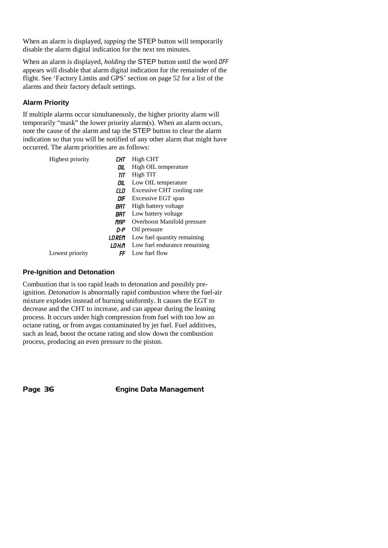When an alarm is displayed, *tapping* the STEP button will temporarily disable the alarm digital indication for the next ten minutes.

When an alarm is displayed, *holding* the STEP button until the word OFF appears will disable that alarm digital indication for the remainder of the flight. See 'Factory Limits and GPS' section on page 52 for a list of the alarms and their factory default settings.

# **Alarm Priority**

If multiple alarms occur simultaneously, the higher priority alarm will temporarily "mask" the lower priority alarm(s). When an alarm occurs, note the cause of the alarm and tap the STEP button to clear the alarm indication so that you will be notified of any other alarm that might have occurred. The alarm priorities are as follows:

| Highest priority | СНТ    | High CHT                     |
|------------------|--------|------------------------------|
|                  | OIL    | High OIL temperature         |
|                  | TIT    | High TIT                     |
|                  | OIL    | Low OIL temperature          |
|                  | CLD    | Excessive CHT cooling rate   |
|                  | DIF    | Excessive EGT span           |
|                  | BAT    | High battery voltage         |
|                  | BRT    | Low battery voltage          |
|                  | MAP    | Overboost Manifold pressure  |
|                  | 0-P    | Oil pressure                 |
|                  | LOREM  | Low fuel quantity remaining  |
|                  | LO H:M | Low fuel endurance remaining |
| Lowest priority  | FF     | Low fuel flow                |

## **Pre-Ignition and Detonation**

Combustion that is too rapid leads to detonation and possibly preignition. *Detonation* is abnormally rapid combustion where the fuel-air mixture explodes instead of burning uniformly. It causes the EGT to decrease and the CHT to increase, and can appear during the leaning process. It occurs under high compression from fuel with too low an octane rating, or from avgas contaminated by jet fuel. Fuel additives, such as lead, boost the octane rating and slow down the combustion process, producing an even pressure to the piston.

Page 36 **Engine Data Management**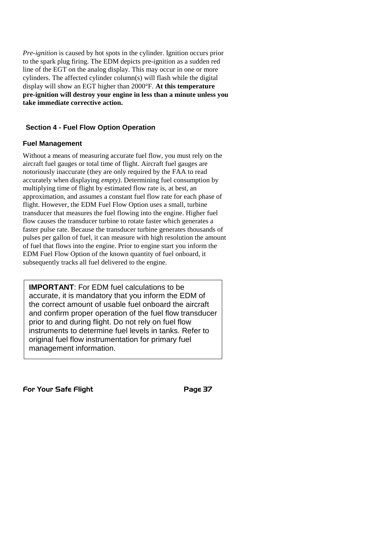*Pre-ignition* is caused by hot spots in the cylinder. Ignition occurs prior to the spark plug firing. The EDM depicts pre-ignition as a sudden red line of the EGT on the analog display. This may occur in one or more cylinders. The affected cylinder column(s) will flash while the digital display will show an EGT higher than 2000°F. **At this temperature pre-ignition will destroy your engine in less than a minute unless you take immediate corrective action.**

#### **Section 4 - Fuel Flow Option Operation**

#### **Fuel Management**

Without a means of measuring accurate fuel flow, you must rely on the aircraft fuel gauges or total time of flight. Aircraft fuel gauges are notoriously inaccurate (they are only required by the FAA to read accurately when displaying *empty)*. Determining fuel consumption by multiplying time of flight by estimated flow rate is, at best, an approximation, and assumes a constant fuel flow rate for each phase of flight. However, the EDM Fuel Flow Option uses a small, turbine transducer that measures the fuel flowing into the engine. Higher fuel flow causes the transducer turbine to rotate faster which generates a faster pulse rate. Because the transducer turbine generates thousands of pulses per gallon of fuel, it can measure with high resolution the amount of fuel that flows into the engine. Prior to engine start you inform the EDM Fuel Flow Option of the known quantity of fuel onboard, it subsequently tracks all fuel delivered to the engine.

**IMPORTANT**: For EDM fuel calculations to be accurate, it is mandatory that you inform the EDM of the correct amount of usable fuel onboard the aircraft and confirm proper operation of the fuel flow transducer prior to and during flight. Do not rely on fuel flow instruments to determine fuel levels in tanks. Refer to original fuel flow instrumentation for primary fuel management information.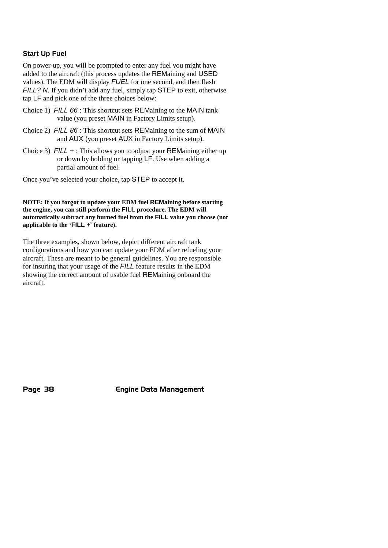#### **Start Up Fuel**

On power-up, you will be prompted to enter any fuel you might have added to the aircraft (this process updates the REMaining and USED values). The EDM will display *FUEL* for one second, and then flash *FILL?* N. If you didn't add any fuel, simply tap **STEP** to exit, otherwise tap LF and pick one of the three choices below:

- Choice 1) *FILL 66* : This shortcut sets REMaining to the MAIN tank value (you preset MAIN in Factory Limits setup).
- Choice 2) *FILL 86* : This shortcut sets REMaining to the sum of MAIN and AUX (you preset AUX in Factory Limits setup).
- Choice 3) *FILL +* : This allows you to adjust your REMaining either up or down by holding or tapping LF. Use when adding a partial amount of fuel.

Once you've selected your choice, tap STEP to accept it.

**NOTE: If you forgot to update your EDM fuel REMaining before starting the engine, you can still perform the FILL procedure. The EDM will automatically subtract any burned fuel from the FILL value you choose (not applicable to the 'FILL +' feature).**

The three examples, shown below, depict different aircraft tank configurations and how you can update your EDM after refueling your aircraft. These are meant to be general guidelines. You are responsible for insuring that your usage of the *FILL* feature results in the EDM showing the correct amount of usable fuel REMaining onboard the aircraft.

Page 38 **Engine Data Management**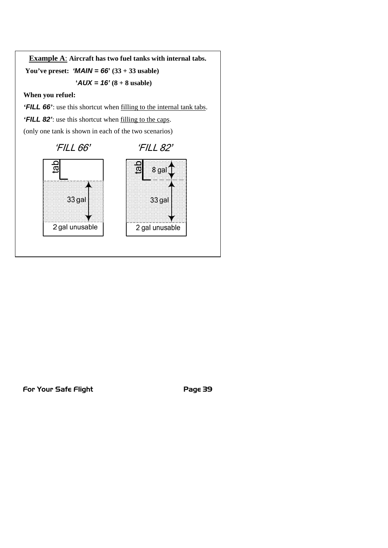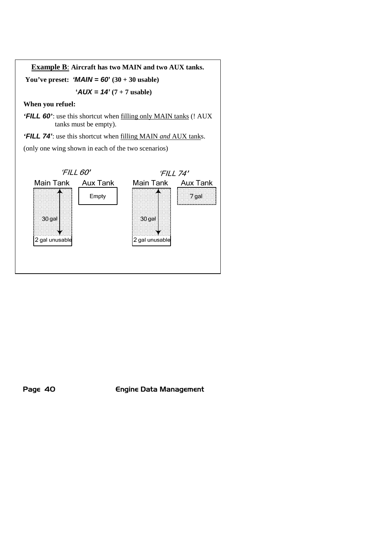



Page 40 **Engine Data Management**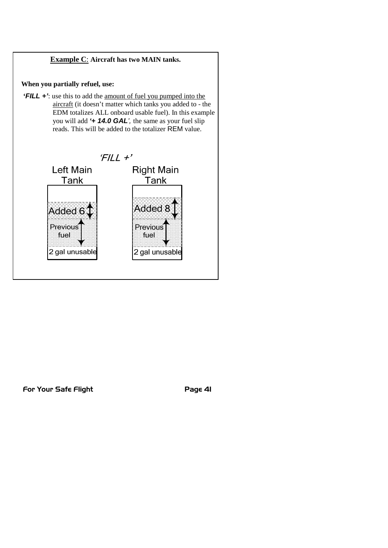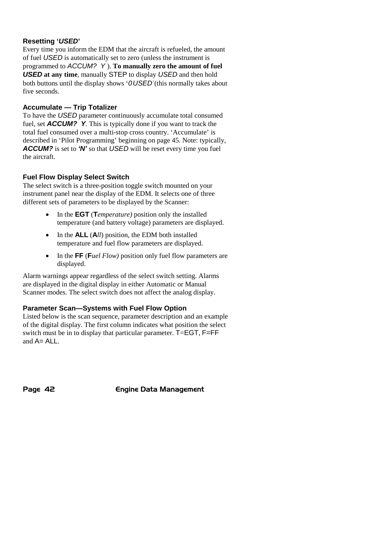#### **Resetting '***USED***'**

Every time you inform the EDM that the aircraft is refueled, the amount of fuel *USED* is automatically set to zero (unless the instrument is programmed to *ACCUM? Y* ). **To manually zero the amount of fuel** *USED* **at any time**, manually STEP to display *USED* and then hold both buttons until the display shows '*0USED*'(this normally takes about five seconds.

#### **Accumulate — Trip Totalizer**

To have the *USED* parameter continuously accumulate total consumed fuel, set *ACCUM? Y*. This is typically done if you want to track the total fuel consumed over a multi-stop cross country. 'Accumulate' is described in 'Pilot Programming' beginning on page 45. Note: typically, *ACCUM?* is set to *'N'* so that *USED* will be reset every time you fuel the aircraft.

#### **Fuel Flow Display Select Switch**

The select switch is a three-position toggle switch mounted on your instrument panel near the display of the EDM. It selects one of three different sets of parameters to be displayed by the Scanner:

- In the **EGT** (**T***emperature)* position only the installed temperature (and battery voltage) parameters are displayed.
- In the **ALL** (A*ll*) position, the EDM both installed temperature and fuel flow parameters are displayed.
- In the **FF** (**F***uel Flow)* position only fuel flow parameters are displayed.

Alarm warnings appear regardless of the select switch setting. Alarms are displayed in the digital display in either Automatic or Manual Scanner modes. The select switch does not affect the analog display.

#### **Parameter Scan—Systems with Fuel Flow Option**

Listed below is the scan sequence, parameter description and an example of the digital display. The first column indicates what position the select switch must be in to display that particular parameter. T=EGT, F=FF and A= ALL.

Page 42 **Engine Data Management**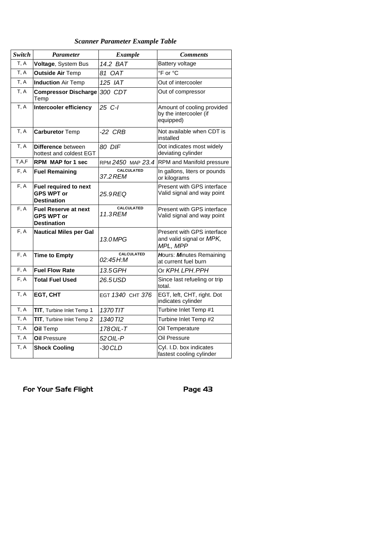## *Scanner Parameter Example Table*

| Switch  | <b>Parameter</b>                                                       | <b>Example</b>                | <b>Comments</b>                                                    |
|---------|------------------------------------------------------------------------|-------------------------------|--------------------------------------------------------------------|
| T, A    | Voltage, System Bus                                                    | 14.2 BAT                      | Battery voltage                                                    |
| T, A    | <b>Outside Air Temp</b>                                                | 81 OAT                        | °F or °C                                                           |
| T, A    | <b>Induction Air Temp</b>                                              | 125 IAT                       | Out of intercooler                                                 |
| T, A    | <b>Compressor Discharge</b><br>Temp                                    | 300 CDT                       | Out of compressor                                                  |
| T, A    | Intercooler efficiency                                                 | 25 C-I                        | Amount of cooling provided<br>by the intercooler (if<br>equipped)  |
| T, A    | <b>Carburetor Temp</b>                                                 | $-22$ CRB                     | Not available when CDT is<br>installed                             |
| T, A    | Difference between<br>hottest and coldest EGT                          | 80 DIF                        | Dot indicates most widely<br>deviating cylinder                    |
| T, A, F | <b>RPM MAP for 1 sec</b>                                               | RPM 2450 MAP 23.4             | <b>RPM</b> and Manifold pressure                                   |
| F, A    | <b>Fuel Remaining</b>                                                  | CALCULATED<br>37.2 REM        | In gallons, liters or pounds<br>or kilograms                       |
| F, A    | Fuel required to next<br><b>GPS WPT or</b><br><b>Destination</b>       | 25.9 REQ                      | Present with GPS interface<br>Valid signal and way point           |
| F, A    | <b>Fuel Reserve at next</b><br><b>GPS WPT or</b><br><b>Destination</b> | CALCULATED<br>11.3 REM        | Present with GPS interface<br>Valid signal and way point           |
| F, A    | <b>Nautical Miles per Gal</b>                                          | 13.0MPG                       | Present with GPS interface<br>and valid signal or MPK,<br>MPL, MPP |
| F, A    | <b>Time to Empty</b>                                                   | <b>CALCULATED</b><br>02:45H:M | Hours: Minutes Remaining<br>at current fuel burn                   |
| F, A    | <b>Fuel Flow Rate</b>                                                  | 13.5 GPH                      | Or <i>KPH LPH PPH</i>                                              |
| F, A    | <b>Total Fuel Used</b>                                                 | 26.5USD                       | Since last refueling or trip<br>total.                             |
| T, A    | EGT, CHT                                                               | EGT 1340 CHT 376              | EGT, left, CHT, right. Dot<br>indicates cylinder                   |
| T, A    | <b>TIT</b> , Turbine Inlet Temp 1                                      | 1370 TIT                      | Turbine Inlet Temp #1                                              |
| T, A    | TIT, Turbine Inlet Temp 2                                              | 1340 TI <sub>2</sub>          | Turbine Inlet Temp #2                                              |
| T, A    | Oil Temp                                                               | 178 OIL-T                     | Oil Temperature                                                    |
| T, A    | <b>Oil Pressure</b>                                                    | 52 OIL-P                      | Oil Pressure                                                       |
| T, A    | <b>Shock Cooling</b>                                                   | -30 CLD                       | Cyl. I.D. box indicates<br>fastest cooling cylinder                |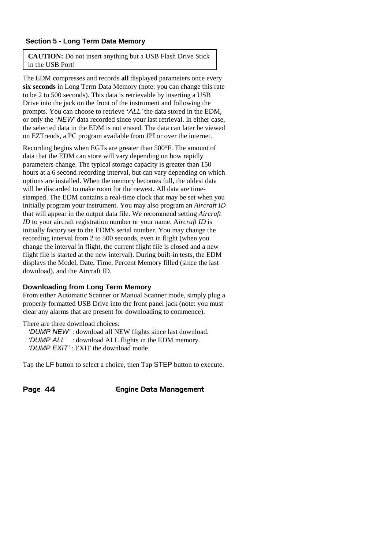#### **Section 5 - Long Term Data Memory**

**CAUTION:** Do not insert anything but a USB Flash Drive Stick in the USB Port!

The EDM compresses and records **all** displayed parameters once every **six seconds** in Long Term Data Memory (note: you can change this rate to be 2 to 500 seconds). This data is retrievable by inserting a USB Drive into the jack on the front of the instrument and following the prompts. You can choose to retrieve '*ALL'* the data stored in the EDM, or only the '*NEW'* data recorded since your last retrieval. In either case, the selected data in the EDM is not erased. The data can later be viewed on EZTrends, a PC program available from JPI or over the internet.

Recording begins when EGTs are greater than 500°F. The amount of data that the EDM can store will vary depending on how rapidly parameters change. The typical storage capacity is greater than 150 hours at a 6 second recording interval, but can vary depending on which options are installed. When the memory becomes full, the oldest data will be discarded to make room for the newest. All data are timestamped. The EDM contains a real-time clock that may be set when you initially program your instrument. You may also program an *Aircraft ID* that will appear in the output data file. We recommend setting *Aircraft ID* to your aircraft registration number or your name. A*ircraft ID* is initially factory set to the EDM's serial number. You may change the recording interval from 2 to 500 seconds, even in flight (when you change the interval in flight, the current flight file is closed and a new flight file is started at the new interval). During built-in tests, the EDM displays the Model, Date, Time, Percent Memory filled (since the last download), and the Aircraft ID.

#### **Downloading from Long Term Memory**

From either Automatic Scanner or Manual Scanner mode, simply plug a properly formatted USB Drive into the front panel jack (note: you must clear any alarms that are present for downloading to commence).

There are three download choices:

*'DUMP NEW'* : download all NEW flights since last download. *'DUMP ALL'* : download ALL flights in the EDM memory. *'DUMP EXIT'* : EXIT the download mode.

Tap the LF button to select a choice, then Tap STEP button to execute.

Page 44 **Engine Data Management**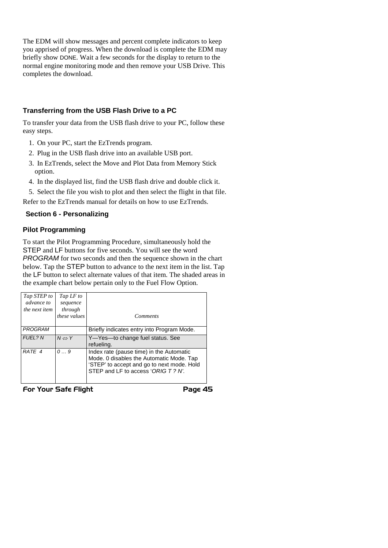The EDM will show messages and percent complete indicators to keep you apprised of progress. When the download is complete the EDM may briefly show DONE. Wait a few seconds for the display to return to the normal engine monitoring mode and then remove your USB Drive. This completes the download.

#### **Transferring from the USB Flash Drive to a PC**

To transfer your data from the USB flash drive to your PC, follow these easy steps.

- 1. On your PC, start the EzTrends program.
- 2. Plug in the USB flash drive into an available USB port.
- 3. In EzTrends, select the Move and Plot Data from Memory Stick option.
- 4. In the displayed list, find the USB flash drive and double click it.

5. Select the file you wish to plot and then select the flight in that file. Refer to the EzTrends manual for details on how to use EzTrends.

#### **Section 6 - Personalizing**

#### **Pilot Programming**

To start the Pilot Programming Procedure, simultaneously hold the STEP and LF buttons for five seconds. You will see the word *PROGRAM* for two seconds and then the sequence shown in the chart below. Tap the STEP button to advance to the next item in the list. Tap the LF button to select alternate values of that item. The shaded areas in the example chart below pertain only to the Fuel Flow Option.

| Tap STEP to<br>advance to<br>the next item | Tap LF to<br>sequence<br>through<br>these values | <b>Comments</b>                                                                                                                                                          |
|--------------------------------------------|--------------------------------------------------|--------------------------------------------------------------------------------------------------------------------------------------------------------------------------|
| PROGRAM                                    |                                                  | Briefly indicates entry into Program Mode.                                                                                                                               |
| <b>FUEL? N</b>                             | $N \Leftrightarrow Y$                            | Y-Yes-to change fuel status. See<br>refueling.                                                                                                                           |
| RATE 4                                     | 09                                               | Index rate (pause time) in the Automatic<br>Mode. 0 disables the Automatic Mode. Tap<br>'STEP' to accept and go to next mode. Hold<br>STEP and LF to access 'ORIG T? N'. |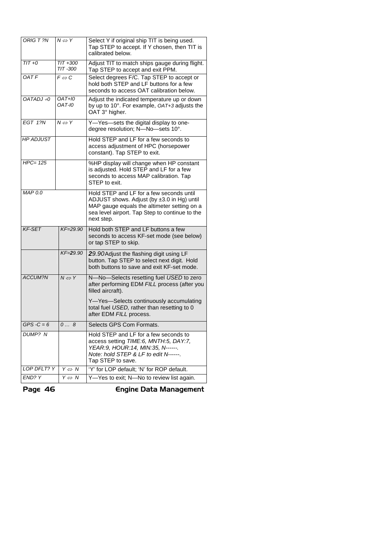| ORIG T?N              | $N \Leftrightarrow Y$   | Select Y if original ship TIT is being used.<br>Tap STEP to accept. If Y chosen, then TIT is<br>calibrated below.                                                                                     |  |
|-----------------------|-------------------------|-------------------------------------------------------------------------------------------------------------------------------------------------------------------------------------------------------|--|
| $TIT + 0$             | $TIT + 300$<br>TIT -300 | Adjust TIT to match ships gauge during flight.<br>Tap STEP to accept and exit PPM.                                                                                                                    |  |
| OAT F                 | $F \Leftrightarrow C$   | Select degrees F/C. Tap STEP to accept or<br>hold both STEP and LF buttons for a few<br>seconds to access OAT calibration below.                                                                      |  |
| $OATADJ +0$           | OAT+10<br>OAT-I0        | Adjust the indicated temperature up or down<br>by up to 10°. For example, OAT+3 adjusts the<br>OAT 3° higher.                                                                                         |  |
| EGT 1? $\overline{N}$ | $N \Leftrightarrow Y$   | Y-Yes-sets the digital display to one-<br>degree resolution; N-No-sets 10°.                                                                                                                           |  |
| <b>HP ADJUST</b>      |                         | Hold STEP and LF for a few seconds to<br>access adjustment of HPC (horsepower<br>constant). Tap STEP to exit.                                                                                         |  |
| $HPC=125$             |                         | %HP display will change when HP constant<br>is adjusted. Hold STEP and LF for a few<br>seconds to access MAP calibration. Tap<br>STEP to exit.                                                        |  |
| MAP 0.0               |                         | Hold STEP and LF for a few seconds until<br>ADJUST shows. Adjust (by ±3.0 in Hg) until<br>MAP gauge equals the altimeter setting on a<br>sea level airport. Tap Step to continue to the<br>next step. |  |
| <b>KF-SET</b>         | $KF = 29.90$            | Hold both STEP and LF buttons a few<br>seconds to access KF-set mode (see below)<br>or tap STEP to skip.                                                                                              |  |
|                       | $KF = 29.90$            | 29.90 Adjust the flashing digit using LF<br>button. Tap STEP to select next digit. Hold<br>both buttons to save and exit KF-set mode.                                                                 |  |
| <b>ACCUM?N</b>        | $N \Leftrightarrow Y$   | N-No-Selects resetting fuel USED to zero<br>after performing EDM FILL process (after you<br>filled aircraft).                                                                                         |  |
|                       |                         | Y-Yes-Selects continuously accumulating<br>total fuel USED, rather than resetting to 0<br>after EDM FILL process.                                                                                     |  |
| $GPS - C = 6$         | 08                      | Selects GPS Com Formats.                                                                                                                                                                              |  |
| DUMP? N               |                         | Hold STEP and LF for a few seconds to<br>access setting TIME:6, MNTH:5, DAY:7,<br>YEAR:9, HOUR:14, MIN:35, N------.<br>Note: hold STEP & LF to edit N------.<br>Tap STEP to save.                     |  |
| LOP DFLT? Y           | $Y \Leftrightarrow N$   | 'Y' for LOP default; 'N' for ROP default.                                                                                                                                                             |  |
| END? Y                | $Y \Leftrightarrow N$   | Y-Yes to exit; N-No to review list again.                                                                                                                                                             |  |

Page 46 Engine Data Management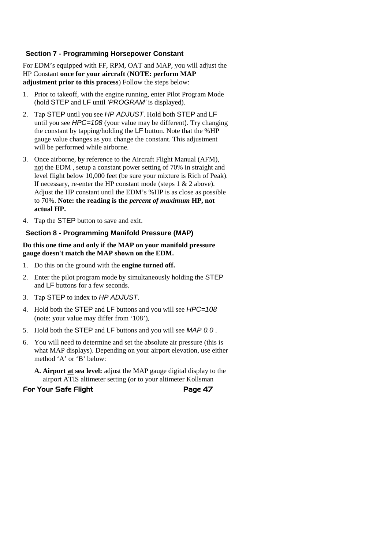#### **Section 7 - Programming Horsepower Constant**

For EDM's equipped with FF, RPM, OAT and MAP, you will adjust the HP Constant **once for your aircraft** (**NOTE: perform MAP adjustment prior to this process**) Follow the steps below:

- 1. Prior to takeoff, with the engine running, enter Pilot Program Mode (hold STEP and LF until *'PROGRAM'* is displayed).
- 2. Tap STEP until you see *HP ADJUST*. Hold both STEP and LF until you see *HPC=108* (your value may be different). Try changing the constant by tapping/holding the LF button. Note that the %HP gauge value changes as you change the constant. This adjustment will be performed while airborne.
- 3. Once airborne, by reference to the Aircraft Flight Manual (AFM), not the EDM , setup a constant power setting of 70% in straight and level flight below 10,000 feet (be sure your mixture is Rich of Peak). If necessary, re-enter the HP constant mode (steps 1 & 2 above). Adjust the HP constant until the EDM's %HP is as close as possible to 70%. **Note: the reading is the** *percent of maximum* **HP, not actual HP.**
- 4. Tap the STEP button to save and exit.

#### **Section 8 - Programming Manifold Pressure (MAP)**

#### **Do this one time and only if the MAP on your manifold pressure gauge doesn't match the MAP shown on the EDM.**

- 1. Do this on the ground with the **engine turned off.**
- 2. Enter the pilot program mode by simultaneously holding the STEP and LF buttons for a few seconds.
- 3. Tap STEP to index to *HP ADJUST*.
- 4. Hold both the STEP and LF buttons and you will see *HPC=108* (note: your value may differ from '108').
- 5. Hold both the STEP and LF buttons and you will see *MAP 0.0* .
- 6. You will need to determine and set the absolute air pressure (this is what MAP displays). Depending on your airport elevation, use either method 'A' or 'B' below:
	- **A. Airport at sea level:** adjust the MAP gauge digital display to the airport ATIS altimeter setting **(**or to your altimeter Kollsman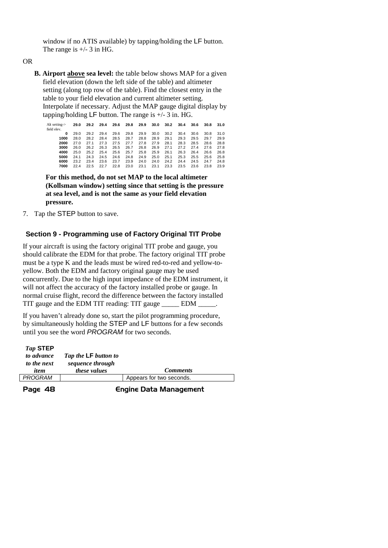window if no ATIS available) by tapping/holding the LF button. The range is  $+/- 3$  in HG.

OR

**B. Airport above sea level:** the table below shows MAP for a given field elevation (down the left side of the table) and altimeter setting (along top row of the table). Find the closest entry in the table to your field elevation and current altimeter setting. Interpolate if necessary. Adjust the MAP gauge digital display by tapping/holding  $LF$  button. The range is  $+/- 3$  in. HG.

| Alt setting- $>$<br>field elev. |      |      |      | 29.0 29.2 29.4 29.6 29.8 29.9 |      |      | 30.0 | 30.2 | 30.4 | 30.6 | 30.8 | 31.0 |
|---------------------------------|------|------|------|-------------------------------|------|------|------|------|------|------|------|------|
| 0                               | 29.0 | 29.2 | 29.4 | 29.6                          | 29.8 | 29.9 | 30.0 | 30.2 | 30.4 | 30.6 | 30.8 | 31.0 |
| 1000                            | 28.0 | 28.2 | 28.4 | 28.5                          | 28.7 | 28.8 | 28.9 | 29.1 | 29.3 | 29.5 | 29.7 | 29.9 |
| 2000                            | 27.0 | 27.1 | 27.3 | 27.5                          | 27.7 | 27.8 | 27.9 | 28.1 | 28.3 | 28.5 | 28.6 | 28.8 |
| 3000                            | 26.0 | 26.2 | 26.3 | 26.5                          | 26.7 | 26.8 | 26.9 | 27.1 | 27.2 | 27.4 | 27.6 | 27.8 |
| 4000                            | 25.0 | 25.2 | 25.4 | 25.6                          | 25.7 | 25.8 | 25.9 | 26.1 | 26.3 | 26.4 | 26.6 | 26.8 |
| 5000                            | 241  | 24.3 | 24.5 | 24.6                          | 24.8 | 24.9 | 25.0 | 25.1 | 25.3 | 25.5 | 25.6 | 25.8 |
| 6000                            | 23.2 | 23.4 | 23.6 | 23.7                          | 23.9 | 24.0 | 24.0 | 24.2 | 24.4 | 24.5 | 24.7 | 24.8 |
| 7000                            | 224  | 22.5 | 22.7 | 22.8                          | 23.0 | 23.1 | 23.1 | 23.3 | 23.5 | 23.6 | 23.8 | 23.9 |

**For this method, do not set MAP to the local altimeter (Kollsman window) setting since that setting is the pressure at sea level, and is not the same as your field elevation pressure.**

7. Tap the STEP button to save.

#### **Section 9 - Programming use of Factory Original TIT Probe**

If your aircraft is using the factory original TIT probe and gauge, you should calibrate the EDM for that probe. The factory original TIT probe must be a type K and the leads must be wired red-to-red and yellow-toyellow. Both the EDM and factory original gauge may be used concurrently. Due to the high input impedance of the EDM instrument, it will not affect the accuracy of the factory installed probe or gauge. In normal cruise flight, record the difference between the factory installed TIT gauge and the EDM TIT reading: TIT gauge EDM  $\qquad \qquad$ .

If you haven't already done so, start the pilot programming procedure, by simultaneously holding the STEP and LF buttons for a few seconds until you see the word *PROGRAM* for two seconds.

| Tap STEP<br>to advance<br>to the next | Tap the <b>LF</b> button to<br>sequence through |                          |
|---------------------------------------|-------------------------------------------------|--------------------------|
| item                                  | <i>these values</i>                             | <b>Comments</b>          |
| PROGRAM                               |                                                 | Appears for two seconds. |
|                                       |                                                 |                          |

Page 48 **Engine Data Management**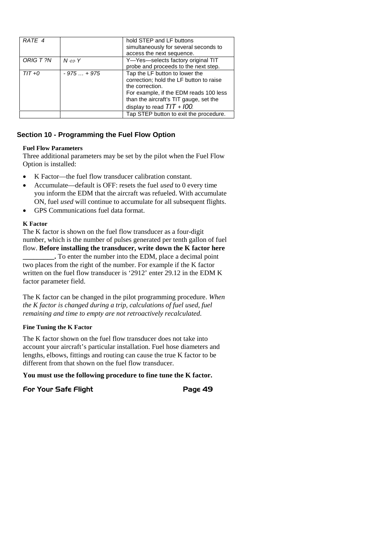| RATE 4    |                       | hold STEP and LF buttons                |
|-----------|-----------------------|-----------------------------------------|
|           |                       | simultaneously for several seconds to   |
|           |                       | access the next sequence.               |
| ORIG T ?N | $N \Leftrightarrow Y$ | Y-Yes-selects factory original TIT      |
|           |                       | probe and proceeds to the next step.    |
| $TIT + 0$ | $-975+975$            | Tap the LF button to lower the          |
|           |                       | correction; hold the LF button to raise |
|           |                       | the correction.                         |
|           |                       | For example, if the EDM reads 100 less  |
|           |                       | than the aircraft's TIT gauge, set the  |
|           |                       | display to read $TIT + I00$ .           |
|           |                       | Tap STEP button to exit the procedure.  |

#### **Section 10 - Programming the Fuel Flow Option**

#### **Fuel Flow Parameters**

Three additional parameters may be set by the pilot when the Fuel Flow Option is installed:

- K Factor—the fuel flow transducer calibration constant.
- Accumulate—default is OFF: resets the fuel *used* to 0 every time you inform the EDM that the aircraft was refueled. With accumulate ON, fuel *used* will continue to accumulate for all subsequent flights.
- GPS Communications fuel data format.

#### **K Factor**

The K factor is shown on the fuel flow transducer as a four-digit number, which is the number of pulses generated per tenth gallon of fuel flow. **Before installing the transducer, write down the K factor here \_\_\_\_\_\_\_\_\_.** To enter the number into the EDM, place a decimal point two places from the right of the number. For example if the K factor

written on the fuel flow transducer is '2912' enter 29.12 in the EDM K factor parameter field.

The K factor can be changed in the pilot programming procedure. *When the K factor is changed during a trip, calculations of fuel used, fuel remaining and time to empty are not retroactively recalculated.*

#### **Fine Tuning the K Factor**

The K factor shown on the fuel flow transducer does not take into account your aircraft's particular installation. Fuel hose diameters and lengths, elbows, fittings and routing can cause the true K factor to be different from that shown on the fuel flow transducer.

**You must use the following procedure to fine tune the K factor.**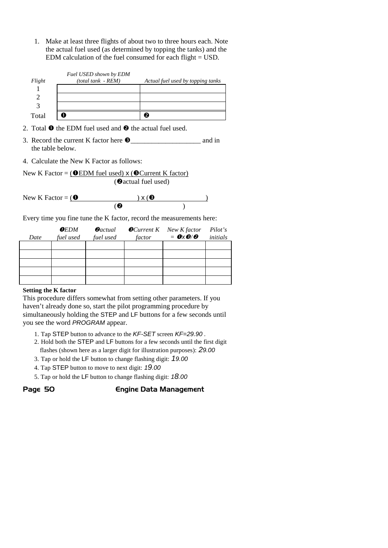1. Make at least three flights of about two to three hours each. Note the actual fuel used (as determined by topping the tanks) and the EDM calculation of the fuel consumed for each flight = USD.

| Flight | Fuel USED shown by EDM<br>$(total tank - REM)$ | Actual fuel used by topping tanks |
|--------|------------------------------------------------|-----------------------------------|
|        |                                                |                                   |
|        |                                                |                                   |
|        |                                                |                                   |
| Total  |                                                |                                   |

- 2. Total  $\bullet$  the EDM fuel used and  $\bullet$  the actual fuel used.
- 3. Record the current K factor here  $\bullet$  and in the table below.
- 4. Calculate the New K Factor as follows:

```
New K Factor = \left( OEDM fuel used) x \left( OCurrent K factor)
                      (@actual fuel used)
```

```
New K Factor = ( ) \times ( )(
```
Every time you fine tune the K factor, record the measurements here:

| Date | $0$ <i>EDM</i><br>fuel used | $\boldsymbol{\varTheta}$ actual<br>fuel used | factor | $\bullet$ Current K New K factor<br>$= \mathbf{0} \times \mathbf{\Theta}/\mathbf{\Theta}$ | Pilot's<br>initials |
|------|-----------------------------|----------------------------------------------|--------|-------------------------------------------------------------------------------------------|---------------------|
|      |                             |                                              |        |                                                                                           |                     |
|      |                             |                                              |        |                                                                                           |                     |
|      |                             |                                              |        |                                                                                           |                     |
|      |                             |                                              |        |                                                                                           |                     |
|      |                             |                                              |        |                                                                                           |                     |

#### **Setting the K factor**

This procedure differs somewhat from setting other parameters. If you haven't already done so, start the pilot programming procedure by simultaneously holding the STEP and LF buttons for a few seconds until you see the word *PROGRAM* appear.

- 1. Tap STEP button to advance to the *KF-SET* screen *KF=29.90 .*
- 2. Hold both the STEP and LF buttons for a few seconds until the first digit flashes (shown here as a larger digit for illustration purposes): *29.00*
- 3. Tap or hold the LF button to change flashing digit: *19.00*
- 4. Tap STEP button to move to next digit: *19.00*
- 5. Tap or hold the LF button to change flashing digit: *18.00*

#### Page 50 **Engine Data Management**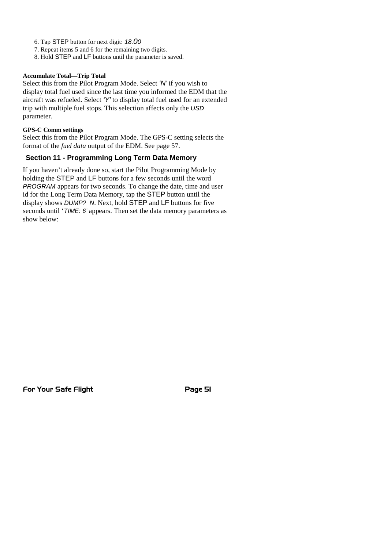- 6. Tap STEP button for next digit: *18.00*
- 7. Repeat items 5 and 6 for the remaining two digits.
- 8. Hold STEP and LF buttons until the parameter is saved.

#### **Accumulate Total—Trip Total**

Select this from the Pilot Program Mode. Select *'N'* if you wish to display total fuel used since the last time you informed the EDM that the aircraft was refueled. Select *'Y'* to display total fuel used for an extended trip with multiple fuel stops. This selection affects only the *USD* parameter.

#### **GPS-C Comm settings**

Select this from the Pilot Program Mode. The GPS-C setting selects the format of the *fuel data* output of the EDM. See page 57.

#### **Section 11 - Programming Long Term Data Memory**

If you haven't already done so, start the Pilot Programming Mode by holding the STEP and LF buttons for a few seconds until the word *PROGRAM* appears for two seconds. To change the date, time and user id for the Long Term Data Memory, tap the STEP button until the display shows *DUMP? N*. Next, hold STEP and LF buttons for five seconds until '*TIME: 6'* appears. Then set the data memory parameters as show below: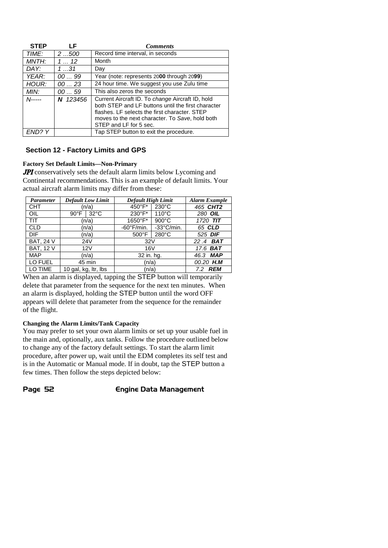| <b>STEP</b> | l F      | <b>Comments</b>                                                                                                                                                                                                                      |  |
|-------------|----------|--------------------------------------------------------------------------------------------------------------------------------------------------------------------------------------------------------------------------------------|--|
| TIME:       | 2500     | Record time interval, in seconds                                                                                                                                                                                                     |  |
| MNTH:       | 112      | Month                                                                                                                                                                                                                                |  |
| DAY:        | 131      | Day                                                                                                                                                                                                                                  |  |
| YEAR:       | 0099     | Year (note: represents 2000 through 2099)                                                                                                                                                                                            |  |
| HOUR:       | 0023     | 24 hour time. We suggest you use Zulu time                                                                                                                                                                                           |  |
| MIN:        | 0059     | This also zeros the seconds                                                                                                                                                                                                          |  |
| $N$ -----   | N 123456 | Current Aircraft ID. To change Aircraft ID, hold<br>both STEP and LF buttons until the first character<br>flashes. LF selects the first character. STEP<br>moves to the next character. To Save, hold both<br>STEP and LF for 5 sec. |  |
| FND? Y      |          | Tap STEP button to exit the procedure.                                                                                                                                                                                               |  |

#### **Section 12 - Factory Limits and GPS**

#### **Factory Set Default Limits—Non-Primary**

JPI conservatively sets the default alarm limits below Lycoming and Continental recommendations. This is an example of default limits. Your actual aircraft alarm limits may differ from these:

| <b>Parameter</b> | <b>Default Low Limit</b>         | Default High Limit                 | <b>Alarm Example</b> |
|------------------|----------------------------------|------------------------------------|----------------------|
| <b>CHT</b>       | (n/a)                            | 450°F*<br>$230^{\circ}$ C          | 465 CHT2             |
| <b>OIL</b>       | $32^{\circ}$ C<br>$90^{\circ}$ F | 230°F*<br>$110^{\circ}$ C          | 280 OIL              |
| TIT              | (n/a)                            | 1650°F*<br>$900^{\circ}$ C         | 1720 TIT             |
| <b>CLD</b>       | (n/a)                            | -33°C/min.<br>$-60^{\circ}$ F/min. | 65 CLD               |
| DIF.             | (n/a)                            | $280^{\circ}$ C<br>$500^{\circ}$ F | 525 DIF              |
| BAT, $24V$       | 24V                              | 32V                                | 22.4 BAT             |
| <b>BAT, 12 V</b> | 12V                              | 16 <sub>V</sub>                    | 17.6 <b>BAT</b>      |
| <b>MAP</b>       | (n/a)                            | 32 in. hg.                         | 46.3 MAP             |
| LO FUEL          | 45 min                           | (n/a)                              | 00.20 H.M            |
| LO TIME          | 10 gal, kg, ltr, lbs             | (n/a)                              | <b>REM</b><br>7.2    |

When an alarm is displayed, tapping the **STEP** button will temporarily delete that parameter from the sequence for the next ten minutes. When an alarm is displayed, holding the STEP button until the word OFF appears will delete that parameter from the sequence for the remainder of the flight.

#### **Changing the Alarm Limits/Tank Capacity**

You may prefer to set your own alarm limits or set up your usable fuel in the main and, optionally, aux tanks. Follow the procedure outlined below to change any of the factory default settings. To start the alarm limit procedure, after power up, wait until the EDM completes its self test and is in the Automatic or Manual mode. If in doubt, tap the STEP button a few times. Then follow the steps depicted below:

Page 52 **Engine Data Management**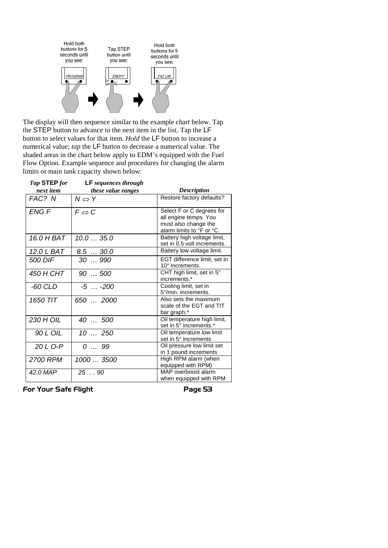

The display will then sequence similar to the example chart below. Tap the STEP button to advance to the next item in the list. Tap the LF button to select values for that item. *Hold* the LF button to increase a numerical value; *tap* the LF button to decrease a numerical value. The shaded areas in the chart below apply to EDM's equipped with the Fuel Flow Option. Example sequence and procedures for changing the alarm limits or main tank capacity shown below:

| Tap STEP for    | <b>LF</b> sequences through |                                                                                                         |
|-----------------|-----------------------------|---------------------------------------------------------------------------------------------------------|
| next item       | these value ranges          | <b>Description</b>                                                                                      |
| FAC? N          | $N \Leftrightarrow Y$       | Restore factory defaults?                                                                               |
| <b>ENG F</b>    | $F \Leftrightarrow C$       | Select F or C degrees for<br>all engine temps. You<br>must also change the<br>alarm limits to °F or °C. |
| 16.0 H BAT      | 10.035.0                    | Battery high voltage limit,<br>set in 0.5 volt increments.                                              |
| 12.0 L BAT      | 8.530.0                     | Battery low voltage limit.                                                                              |
| 500 DIF         | $30 - 990$                  | EGT difference limit, set in<br>10° increments.                                                         |
| 450 H CHT       | $90 - 500$                  | CHT high limit, set in 5°<br>increments.*                                                               |
| $-60$ CLD       | $-5 - -200$                 | Cooling limit, set in<br>5°/min. increments.                                                            |
| 1650 TIT        | 650  2000                   | Also sets the maximum<br>scale of the EGT and TIT<br>bar graph.*                                        |
| 230 H OIL       | $40 - 500$                  | Oil temperature high limit,<br>set in 5° increments.*                                                   |
| 90 L OIL        | $10 \ldots 250$             | Oil temperature low limit<br>set in 5° increments                                                       |
| 20 L O-P        | $0 \ldots 99$               | Oil pressure low limit set<br>in 1 pound increments                                                     |
| <b>2700 RPM</b> | 1000  3500                  | High RPM alarm (when<br>equipped with RPM)                                                              |
| 42.0 MAP        | $25 - 90$                   | MAP overboost alarm<br>when equipped with RPM                                                           |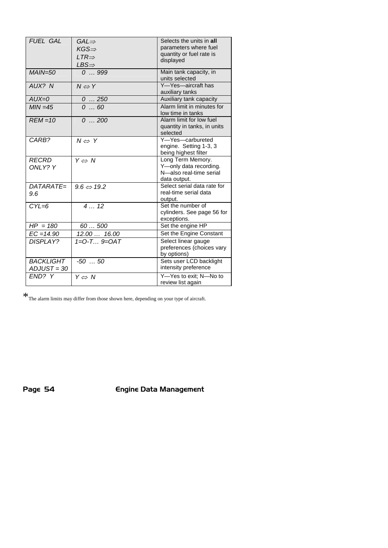| <b>FUEL GAL</b>                 | $GAL \Rightarrow$<br>$KGS \Rightarrow$<br>$LTR \Rightarrow$ | Selects the units in all<br>parameters where fuel<br>quantity or fuel rate is<br>displayed |
|---------------------------------|-------------------------------------------------------------|--------------------------------------------------------------------------------------------|
| $MAIN = 50$                     | $LBS \Rightarrow$<br>0999                                   | Main tank capacity, in<br>units selected                                                   |
| AUX? N                          | $N \Leftrightarrow Y$                                       | Y-Yes-aircraft has<br>auxiliary tanks                                                      |
| $AUX = 0$                       | 0250                                                        | Auxiliary tank capacity                                                                    |
| $MIN = 45$                      | 060                                                         | Alarm limit in minutes for<br>low time in tanks                                            |
| $REM = 10$                      | 0200                                                        | Alarm limit for low fuel<br>quantity in tanks, in units<br>selected                        |
| CARB?                           | $N \Leftrightarrow Y$                                       | Y-Yes-carbureted<br>engine. Setting 1-3, 3<br>being highest filter                         |
| <b>RECRD</b><br>ONLY? Y         | $Y \Leftrightarrow N$                                       | Long Term Memory.<br>Y-only data recording.<br>N-also real-time serial<br>data output.     |
| DATARATE=<br>9.6                | $9.6 \Leftrightarrow 19.2$                                  | Select serial data rate for<br>real-time serial data<br>output.                            |
| $CYL=6$                         | 412                                                         | Set the number of<br>cylinders. See page 56 for<br>exceptions.                             |
| $HP = 180$                      | 60500                                                       | Set the engine HP                                                                          |
| $\overline{EC} = 14.90$         | $\overline{12.00}$ 16.00                                    | Set the Engine Constant                                                                    |
| <b>DISPLAY?</b>                 | 1=0-T 9=0AT                                                 | Select linear gauge<br>preferences (choices vary<br>by options)                            |
| <b>BACKLIGHT</b><br>ADJUST = 30 | $-50$ 50                                                    | Sets user LCD backlight<br>intensity preference                                            |
| END? Y                          | $Y \Leftrightarrow N$                                       | Y-Yes to exit; N-No to<br>review list again                                                |

 $\mathbf{\hat{x}}$  The alarm limits may differ from those shown here, depending on your type of aircraft.

Page 54 Engine Data Management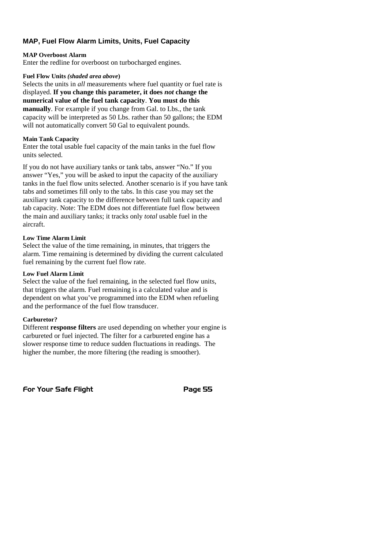#### **MAP, Fuel Flow Alarm Limits, Units, Fuel Capacity**

#### **MAP Overboost Alarm**

Enter the redline for overboost on turbocharged engines.

#### **Fuel Flow Units** *(shaded area above***)**

Selects the units in *all* measurements where fuel quantity or fuel rate is displayed. **If you change this parameter, it does** *not* **change the numerical value of the fuel tank capacity**. **You must do this manually**. For example if you change from Gal. to Lbs., the tank capacity will be interpreted as 50 Lbs. rather than 50 gallons; the EDM will not automatically convert 50 Gal to equivalent pounds.

#### **Main Tank Capacity**

Enter the total usable fuel capacity of the main tanks in the fuel flow units selected.

If you do not have auxiliary tanks or tank tabs, answer "No." If you answer "Yes," you will be asked to input the capacity of the auxiliary tanks in the fuel flow units selected. Another scenario is if you have tank tabs and sometimes fill only to the tabs. In this case you may set the auxiliary tank capacity to the difference between full tank capacity and tab capacity. Note: The EDM does not differentiate fuel flow between the main and auxiliary tanks; it tracks only *total* usable fuel in the aircraft.

#### **Low Time Alarm Limit**

Select the value of the time remaining, in minutes, that triggers the alarm. Time remaining is determined by dividing the current calculated fuel remaining by the current fuel flow rate.

#### **Low Fuel Alarm Limit**

Select the value of the fuel remaining, in the selected fuel flow units, that triggers the alarm. Fuel remaining is a calculated value and is dependent on what you've programmed into the EDM when refueling and the performance of the fuel flow transducer.

#### **Carburetor?**

Different **response filters** are used depending on whether your engine is carbureted or fuel injected. The filter for a carbureted engine has a slower response time to reduce sudden fluctuations in readings. The higher the number, the more filtering (the reading is smoother).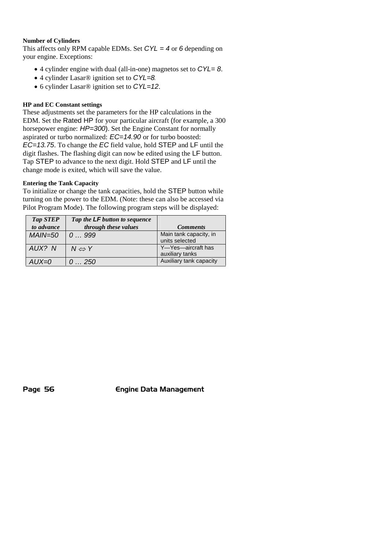#### **Number of Cylinders**

This affects only RPM capable EDMs. Set *CYL = 4* or *6* depending on your engine. Exceptions:

- 4 cylinder engine with dual (all-in-one) magnetos set to *CYL= 8*.
- 4 cylinder Lasar® ignition set to *CYL=8*.
- 6 cylinder Lasar® ignition set to *CYL=12*.

#### **HP and EC Constant settings**

These adjustments set the parameters for the HP calculations in the EDM. Set the Rated HP for your particular aircraft (for example, a 300 horsepower engine: *HP=300*). Set the Engine Constant for normally aspirated or turbo normalized: *EC=14.90* or for turbo boosted: *EC=13.75*. To change the *EC* field value, hold STEP and LF until the digit flashes. The flashing digit can now be edited using the LF button. Tap STEP to advance to the next digit. Hold STEP and LF until the change mode is exited, which will save the value.

#### **Entering the Tank Capacity**

To initialize or change the tank capacities, hold the STEP button while turning on the power to the EDM. (Note: these can also be accessed via Pilot Program Mode). The following program steps will be displayed:

| <b>Tap STEP</b> | Tap the <b>LF</b> button to sequence |                                          |
|-----------------|--------------------------------------|------------------------------------------|
| to advance      | through these values                 | <b>Comments</b>                          |
| $MAIN = 50$     | 0999                                 | Main tank capacity, in<br>units selected |
| AUX? N          | $N \Leftrightarrow Y$                | Y-Yes-aircraft has<br>auxiliary tanks    |
| $AUX = 0$       | 0250                                 | Auxiliary tank capacity                  |

Page 56 **Engine Data Management**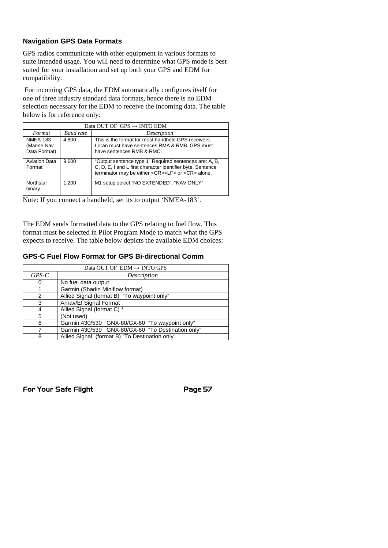#### **Navigation GPS Data Formats**

GPS radios communicate with other equipment in various formats to suite intended usage. You will need to determine what GPS mode is best suited for your installation and set up both your GPS and EDM for compatibility.

For incoming GPS data, the EDM automatically configures itself for one of three industry standard data formats, hence there is no EDM selection necessary for the EDM to receive the incoming data. The table below is for reference only:

| Data OUT OF $GPS \rightarrow \text{INTO} EDM$  |           |                                                                                                                                                                                         |  |  |
|------------------------------------------------|-----------|-----------------------------------------------------------------------------------------------------------------------------------------------------------------------------------------|--|--|
| Format                                         | Baud rate | Description                                                                                                                                                                             |  |  |
| <b>NMEA-183</b><br>(Marine Nav<br>Data Format) | 4.800     | This is the format for most handheld GPS receivers.<br>Loran must have sentences RMA & RMB, GPS must<br>have sentences RMB & RMC.                                                       |  |  |
| <b>Aviation Data</b><br>Format                 | 9.600     | "Output sentence type 1" Required sentences are: A, B,<br>C, D, E, I and L first character identifier byte. Sentence<br>terminator may be either <cr><lf> or <cr> alone.</cr></lf></cr> |  |  |
| Northstar<br>binary                            | 1.200     | M1 setup select "NO EXTENDED", "NAV ONLY"                                                                                                                                               |  |  |

Note: If you connect a handheld, set its to output 'NMEA-183'.

The EDM sends formatted data to the GPS relating to fuel flow. This format must be selected in Pilot Program Mode to match what the GPS expects to receive. The table below depicts the available EDM choices:

#### **GPS-C Fuel Flow Format for GPS Bi-directional Comm**

| Data OUT OF $EDM \rightarrow INTO$ GPS |                                                   |  |  |  |
|----------------------------------------|---------------------------------------------------|--|--|--|
| $GPS-C$                                | Description                                       |  |  |  |
| 0                                      | No fuel data output                               |  |  |  |
|                                        | Garmin (Shadin Miniflow format)                   |  |  |  |
| 2                                      | Allied Signal (format B) "To waypoint only"       |  |  |  |
| 3                                      | Arnav/El Signal Format                            |  |  |  |
| 4                                      | Allied Signal (format C) *                        |  |  |  |
| 5                                      | (Not used)                                        |  |  |  |
| 6                                      | Garmin 430/530 GNX-80/GX-60 "To waypoint only"    |  |  |  |
|                                        | Garmin 430/530 GNX-80/GX-60 "To Destination only" |  |  |  |
| 8                                      | Allied Signal (format B) "To Destination only"    |  |  |  |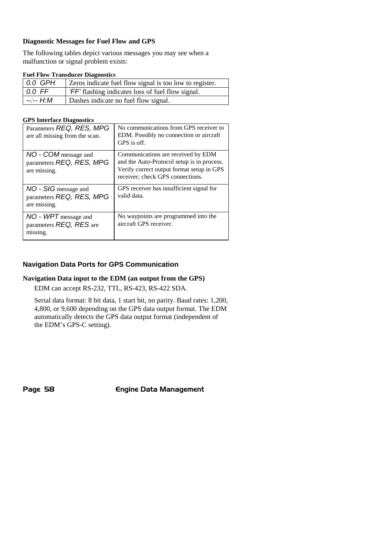#### **Diagnostic Messages for Fuel Flow and GPS**

The following tables depict various messages you may see when a malfunction or signal problem exists:

#### **Fuel Flow Transducer Diagnostics**

| $0.0$ GPH           | Zeros indicate fuel flow signal is too low to register. |
|---------------------|---------------------------------------------------------|
| $\overline{0.0}$ FF | 'FF' flashing indicates loss of fuel flow signal.       |
| --:-- H.M           | Dashes indicate no fuel flow signal.                    |

#### **GPS Interface Diagnostics**

| Parameters REQ, RES, MPG<br>are all missing from the scan.       | No communications from GPS receiver to<br>EDM. Possibly no connection or aircraft<br>GPS is off.                                                                  |
|------------------------------------------------------------------|-------------------------------------------------------------------------------------------------------------------------------------------------------------------|
| NO - COM message and<br>parameters REQ, RES, MPG<br>are missing. | Communications are received by EDM<br>and the Auto-Protocol setup is in process.<br>Verify correct output format setup in GPS<br>receiver; check GPS connections. |
| NO - SIG message and<br>parameters REQ, RES, MPG<br>are missing. | GPS receiver has insufficient signal for<br>valid data.                                                                                                           |
| $NO - WPT$ message and<br>parameters REQ, RES are<br>missing.    | No waypoints are programmed into the<br>aircraft GPS receiver.                                                                                                    |

#### **Navigation Data Ports for GPS Communication**

#### **Navigation Data input to the EDM (an output from the GPS)**

EDM can accept RS-232, TTL, RS-423, RS-422 SDA.

Serial data format: 8 bit data, 1 start bit, no parity. Baud rates: 1,200, 4,800, or 9,600 depending on the GPS data output format. The EDM automatically detects the GPS data output format (independent of the EDM's GPS-C setting).

Page 58 **Engine Data Management**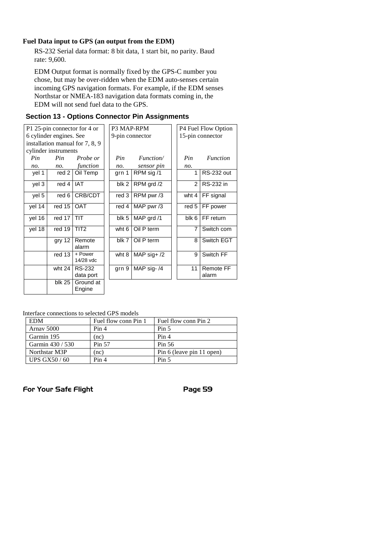#### **Fuel Data input to GPS (an output from the EDM)**

RS-232 Serial data format: 8 bit data, 1 start bit, no parity. Baud rate: 9,600.

EDM Output format is normally fixed by the GPS-C number you chose, but may be over-ridden when the EDM auto-senses certain incoming GPS navigation formats. For example, if the EDM senses Northstar or NMEA-183 navigation data formats coming in, the EDM will not send fuel data to the GPS.

| P1 25-pin connector for 4 or |                      |                                 | P3 MAP-RPM      |               |       | P4 Fuel Flow Option       |
|------------------------------|----------------------|---------------------------------|-----------------|---------------|-------|---------------------------|
| 6 cylinder engines. See      |                      |                                 | 9-pin connector |               |       | 15-pin connector          |
|                              |                      | installation manual for 7, 8, 9 |                 |               |       |                           |
|                              | cylinder instruments |                                 |                 |               |       |                           |
| Pin                          | Pin                  | Probe or                        | Pin             | Function/     | Pin   | <i>Function</i>           |
| no.                          | no.                  | function                        | no.             | sensor pin    | no.   |                           |
| yel 1                        | red 2                | Oil Temp                        | grn 1           | RPM sig /1    |       | <b>RS-232 out</b>         |
| yel 3                        | red 4                | <b>IAT</b>                      | blk 2           | RPM grd /2    | 2     | <b>RS-232 in</b>          |
| yel 5                        | red 6                | CRB/CDT                         | red 3           | RPM pwr/3     | wht 4 | FF signal                 |
| yel 14                       | red 15               | <b>OAT</b>                      | red 4           | MAP pwr/3     | red 5 | FF power                  |
| yel 16                       | red 17               | TIT                             | blk 5           | MAP grd /1    | blk 6 | FF return                 |
| yel 18                       | red 19               | TIT <sub>2</sub>                | wht 6           | Oil P term    | 7     | Switch com                |
|                              | gry 12               | Remote<br>alarm                 | blk 7           | Oil P term    | 8     | Switch EGT                |
|                              | red 13               | + Power<br>14/28 vdc            | wht 8           | MAP sig+ $/2$ | 9     | Switch FF                 |
|                              | wht 24               | <b>RS-232</b><br>data port      | grn 9           | MAP sig-/4    | 11    | <b>Remote FF</b><br>alarm |
|                              | <b>blk 25</b>        | Ground at<br>Enaine             |                 |               |       |                           |

#### **Section 13 - Options Connector Pin Assignments**

Interface connections to selected GPS models

| <b>EDM</b>         | Fuel flow conn Pin 1 | Fuel flow conn Pin 2      |  |
|--------------------|----------------------|---------------------------|--|
| Arnav 5000         | Pin 4                | Pin <sub>5</sub>          |  |
| Garmin 195         | (nc)                 | Pin 4                     |  |
| Garmin 430 / 530   | Pin 57               | Pin 56                    |  |
| Northstar M3P      | $rac{1}{2}$          | Pin 6 (leave pin 11 open) |  |
| <b>UPS GX50/60</b> | Pin 4                | Pin 5                     |  |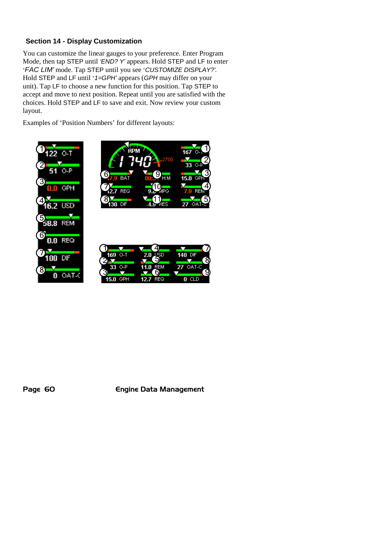#### **Section 14 - Display Customization**

You can customize the linear gauges to your preference. Enter Program Mode, then tap STEP until *'END? Y'* appears. Hold STEP and LF to enter '*FAC LIM'* mode. Tap STEP until you see '*CUSTOMIZE DISPLAY?'.* Hold STEP and LF until '*1=GPH'* appears (*GPH* may differ on your unit). Tap LF to choose a new function for this position. Tap STEP to accept and move to next position. Repeat until you are satisfied with the choices. Hold STEP and LF to save and exit. Now review your custom layout.

Examples of 'Position Numbers' for different layouts:







Page 60 **Engine Data Management**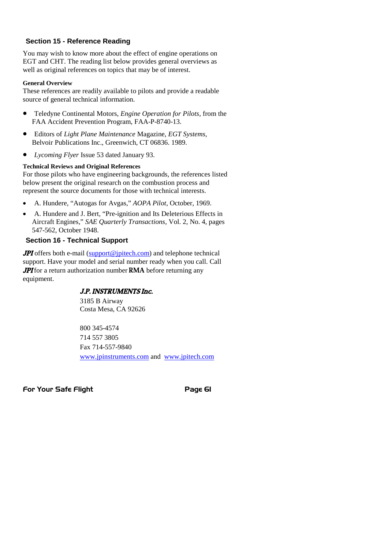#### **Section 15 - Reference Reading**

You may wish to know more about the effect of engine operations on EGT and CHT. The reading list below provides general overviews as well as original references on topics that may be of interest.

#### **General Overview**

These references are readily available to pilots and provide a readable source of general technical information.

- Teledyne Continental Motors, *Engine Operation for Pilots*, from the FAA Accident Prevention Program, FAA-P-8740-13.
- Editors of *Light Plane Maintenance* Magazine, *EGT Systems*, Belvoir Publications Inc., Greenwich, CT 06836. 1989.
- *Lycoming Flyer* Issue 53 dated January 93.

#### **Technical Reviews and Original References**

For those pilots who have engineering backgrounds, the references listed below present the original research on the combustion process and represent the source documents for those with technical interests.

- A. Hundere, "Autogas for Avgas," *AOPA Pilot*, October, 1969.
- A. Hundere and J. Bert, "Pre-ignition and Its Deleterious Effects in Aircraft Engines," *SAE Quarterly Transactions*, Vol. 2, No. 4, pages 547-562, October 1948.

#### **Section 16 - Technical Support**

**JPI** offers both e-mail (support@jpitech.com) and telephone technical support. Have your model and serial number ready when you call. Call **JPI** for a return authorization number **RMA** before returning any equipment.

#### J.P. INSTRUMENTS Inc.

3185 B Airway Costa Mesa, CA 92626

800 345-4574 714 557 3805 Fax 714-557-9840 www.jpinstruments.com and www.jpitech.com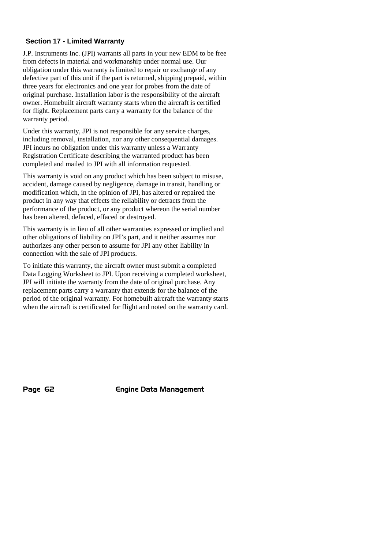#### **Section 17 - Limited Warranty**

J.P. Instruments Inc. (JPI) warrants all parts in your new EDM to be free from defects in material and workmanship under normal use. Our obligation under this warranty is limited to repair or exchange of any defective part of this unit if the part is returned, shipping prepaid, within three years for electronics and one year for probes from the date of original purchase**.** Installation labor is the responsibility of the aircraft owner. Homebuilt aircraft warranty starts when the aircraft is certified for flight. Replacement parts carry a warranty for the balance of the warranty period.

Under this warranty, JPI is not responsible for any service charges, including removal, installation, nor any other consequential damages. JPI incurs no obligation under this warranty unless a Warranty Registration Certificate describing the warranted product has been completed and mailed to JPI with all information requested.

This warranty is void on any product which has been subject to misuse, accident, damage caused by negligence, damage in transit, handling or modification which, in the opinion of JPI, has altered or repaired the product in any way that effects the reliability or detracts from the performance of the product, or any product whereon the serial number has been altered, defaced, effaced or destroyed.

This warranty is in lieu of all other warranties expressed or implied and other obligations of liability on JPI's part, and it neither assumes nor authorizes any other person to assume for JPI any other liability in connection with the sale of JPI products.

To initiate this warranty, the aircraft owner must submit a completed Data Logging Worksheet to JPI. Upon receiving a completed worksheet, JPI will initiate the warranty from the date of original purchase. Any replacement parts carry a warranty that extends for the balance of the period of the original warranty. For homebuilt aircraft the warranty starts when the aircraft is certificated for flight and noted on the warranty card.

Page 62 **Engine Data Management**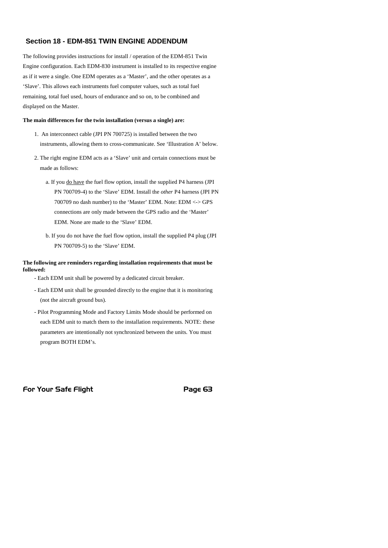#### **Section 18 - EDM-851 TWIN ENGINE ADDENDUM**

The following provides instructions for install / operation of the EDM-851 Twin Engine configuration. Each EDM-830 instrument is installed to its respective engine as if it were a single. One EDM operates as a 'Master', and the other operates as a 'Slave'. This allows each instruments fuel computer values, such as total fuel remaining, total fuel used, hours of endurance and so on, to be combined and displayed on the Master.

#### **The main differences for the twin installation (versus a single) are:**

- 1. An interconnect cable (JPI PN 700725) is installed between the two instruments, allowing them to cross-communicate. See 'Illustration A' below.
- 2. The right engine EDM acts as a 'Slave' unit and certain connections must be made as follows:
	- a. If you do have the fuel flow option, install the supplied P4 harness (JPI PN 700709-4) to the 'Slave' EDM. Install the *other* P4 harness (JPI PN 700709 no dash number) to the 'Master' EDM. Note: EDM <-> GPS connections are only made between the GPS radio and the 'Master' EDM. None are made to the 'Slave' EDM.
	- b. If you do not have the fuel flow option, install the supplied P4 plug (JPI PN 700709-5) to the 'Slave' EDM.

#### **The following are reminders regarding installation requirements that must be followed:**

- Each EDM unit shall be powered by a dedicated circuit breaker.
- Each EDM unit shall be grounded directly to the engine that it is monitoring (not the aircraft ground bus).
- Pilot Programming Mode and Factory Limits Mode should be performed on each EDM unit to match them to the installation requirements. NOTE: these parameters are intentionally not synchronized between the units. You must program BOTH EDM's.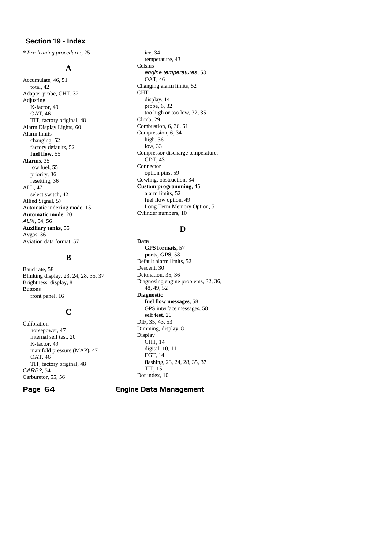#### **Section 19 - Index**

*\* Pre-leaning procedure:*, 25

#### **A**

Accumulate, 46, 51 total, 42 Adapter probe, CHT, 32 Adjusting K-factor, 49 OAT, 46 TIT, factory original, 48 Alarm Display Lights, 60 Alarm limits changing, 52 factory defaults, 52 **fuel flow**, 55 **Alarms**, 35 low fuel, 55 priority, 36 resetting, 36 ALL, 47 select switch, 42 Allied Signal, 57 Automatic indexing mode, 15 **Automatic mode**, 20 *AUX*, 54, 56 **Auxiliary tanks**, 55 Avgas, 36 Aviation data format, 57

#### **B**

Baud rate, 58 Blinking display, 23, 24, 28, 35, 37 Brightness, display, 8 Buttons front panel, 16

#### **C**

Calibration horsepower, 47 internal self test, 20 K-factor, 49 manifold pressure (MAP), 47 OAT, 46 TIT, factory original, 48 *CARB?*, 54 Carburetor, 55, 56

ice, 34 temperature, 43 Celsius *engine temperatures*, 53 OAT, 46 Changing alarm limits, 52 CHT display, 14 probe, 6, 32 too high or too low, 32, 35 Climb, 29 Combustion, 6, 36, 61 Compression, 6, 34 high, 36 low, 33 Compressor discharge temperature, CDT, 43 Connector option pins, 59 Cowling, obstruction, 34 **Custom programming**, 45 alarm limits, 52 fuel flow option, 49 Long Term Memory Option, 51 Cylinder numbers, 10

#### **D**

**Data GPS formats**, 57 **ports, GPS**, 58 Default alarm limits, 52 Descent, 30 Detonation, 35, 36 Diagnosing engine problems, 32, 36, 48, 49, 52 **Diagnostic fuel flow messages**, 58 GPS interface messages, 58 **self test**, 20 DIF, 35, 43, 53 Dimming, display, 8 Display CHT, 14 digital, 10, 11 EGT, 14 flashing, 23, 24, 28, 35, 37 TIT, 15 Dot index, 10

#### Page 64 **Engine Data Management**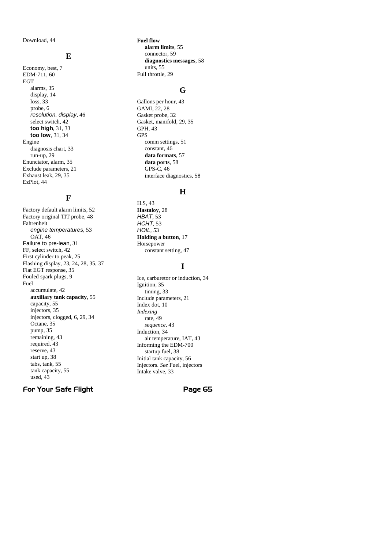Download, 44

#### **E**

Economy, best, 7 EDM-711, 60 EGT alarms, 35 display, 14 loss, 33 probe, 6 *resolution, display*, 46 select switch, 42 **too high**, 31, 33 **too low**, 31, 34 Engine diagnosis chart, 33 run-up, 29 Enunciator, alarm, 35 Exclude parameters, 21 Exhaust leak, 29, 35 EzPlot, 44

## **F**

Factory default alarm limits, 52 Factory original TIT probe, 48 Fahrenheit *engine temperatures*, 53 OAT, 46 Failure to pre-lean, 31 FF, select switch, 42 First cylinder to peak, 25 Flashing display, 23, 24, 28, 35, 37 Flat EGT response, 35 Fouled spark plugs, 9 Fuel accumulate, 42 **auxiliary tank capacity**, 55 capacity, 55 injectors, 35 injectors, clogged, 6, 29, 34 Octane, 35 pump, 35 remaining, 43 required, 43 reserve, 43 start up, 38 tabs, tank, 55 tank capacity, 55 used, 43

**Fuel flow alarm limits**, 55 connector, 59 **diagnostics messages**, 58 units, 55 Full throttle, 29

#### **G**

Gallons per hour, 43 GAMI, 22, 28 Gasket probe, 32 Gasket, manifold, 29, 35 GPH, 43 GPS comm settings, 51 constant, 46 **data formats**, 57 **data ports**, 58 GPS-C, 46 interface diagnostics, 58

#### **H**

H.S, 43 **Hastaloy**, 28 *HBAT*, 53 *HCHT*, 53 *HOIL*, 53 **Holding a button**, 17 Horsepower constant setting, 47

#### **I**

Ice, carburetor or induction, 34 Ignition, 35 timing, 33 Include parameters, 21 Index dot, 10 *Indexing* rate, 49 *sequence*, 43 Induction, 34 air temperature, IAT, 43 Informing the EDM-700 startup fuel, 38 Initial tank capacity, 56 Injectors. *See* Fuel, injectors Intake valve, 33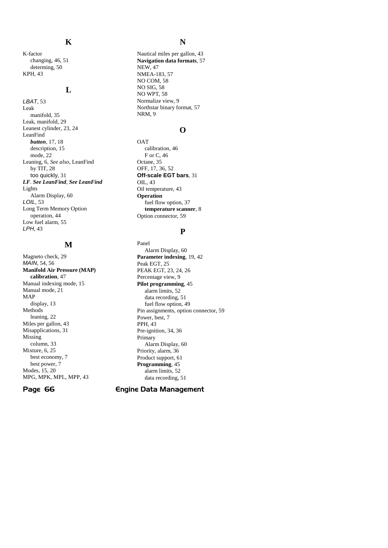#### **K**

K-factor changing, 46, 51 determing, 50 KPH, 43

#### **L**

*LBAT*, 53 Leak manifold, 35 Leak, manifold, 29 Leanest cylinder, 23, 24 LeanFind *button*, 17, 18 description, 15 mode, 22 Leaning, 6, *See also*, LeanFind by TIT, 28 too quickly, 31 *LF*. *See LeanFind*, *See LeanFind* Lights Alarm Display, 60 *LOIL*, 53 Long Term Memory Option operation, 44 Low fuel alarm, 55 *LPH*, 43

#### **M**

Magneto check, 29 *MAIN*, 54, 56 **Manifold Air Pressure (MAP) calibration**, 47 Manual indexing mode, 15 Manual mode, 21 MAP display, 13 Methods leaning, 22 Miles per gallon, 43 Misapplications, 31 Missing column, 33 Mixture, 6, 25 best economy, 7 best power, 7 Modes, 15, 20 MPG, MPK, MPL, MPP, 43

#### **N**

Nautical miles per gallon, 43 **Navigation data formats**, 57 NEW, 47 NMEA-183, 57 NO COM, 58 NO SIG, 58 NO WPT, 58 Normalize view, 9 Northstar binary format, 57 NRM, 9

#### **O**

**OAT** calibration, 46 F or C, 46 Octane, 35 OFF, 17, 36, 52 **Off-scale EGT bars**, 31 OIL, 43 Oil temperature, 43 **Operation** fuel flow option, 37 **temperature scanner**, 8 Option connector, 59

#### **P**

Panel Alarm Display, 60 **Parameter indexing**, 19, 42 Peak EGT, 25 PEAK EGT, 23, 24, 26 Percentage view, 9 **Pilot programming**, 45 alarm limits, 52 data recording, 51 fuel flow option, 49 Pin assignments, option connector, 59 Power, best, 7 PPH, 43 Pre-ignition, 34, 36 Primary Alarm Display, 60 Priority, alarm, 36 Product support, 61 **Programming**, 45 alarm limits, 52 data recording, 51

#### Page 66 Engine Data Management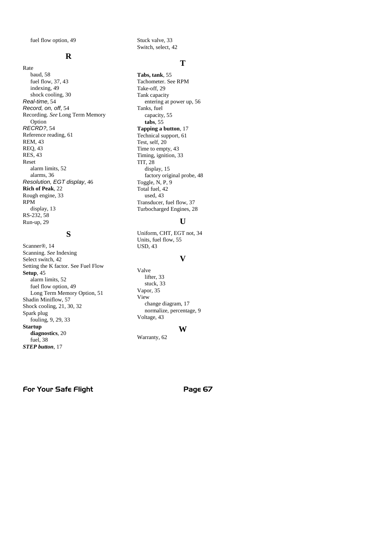fuel flow option, 49

#### **R**

Rate baud, 58 fuel flow, 37, 43 indexing, 49 shock cooling, 30 *Real-time*, 54 *Record, on, off*, 54 Recording. *See* Long Term Memory Option *RECRD?*, 54 Reference reading, 61 REM, 43 REQ, 43 RES, 43 Reset alarm limits, 52 alarms, 36 *Resolution, EGT display*, 46 **Rich of Peak**, 22 Rough engine, 33 RPM display, 13 RS-232, 58 Run-up, 29

#### **S**

Scanner®, 14 Scanning. *See* Indexing Select switch, 42 Setting the K factor. See Fuel Flow **Setup**, 45 alarm limits, 52 fuel flow option, 49 Long Term Memory Option, 51 Shadin Miniflow, 57 Shock cooling, 21, 30, 32 Spark plug fouling, 9, 29, 33 **Startup diagnostics**, 20 fuel, 38 *STEP button*, 17

Stuck valve, 33 Switch, select, 42

#### **T**

**Tabs, tank**, 55 Tachometer. See RPM Take-off, 29 Tank capacity entering at power up, 56 Tanks, fuel capacity, 55 **tabs**, 55 **Tapping a button**, 17 Technical support, 61 Test, self, 20 Time to empty, 43 Timing, ignition, 33 TIT, 28 display, 15 factory original probe, 48 Toggle, N, P, 9 Total fuel, 42 used, 43 Transducer, fuel flow, 37 Turbocharged Engines, 28

#### **U**

Uniform, CHT, EGT not, 34 Units, fuel flow, 55 USD, 43

#### **V**

Valve lifter, 33 stuck, 33 Vapor, 35 View change diagram, 17 normalize, percentage, 9 Voltage, 43

#### **W**

Warranty, 62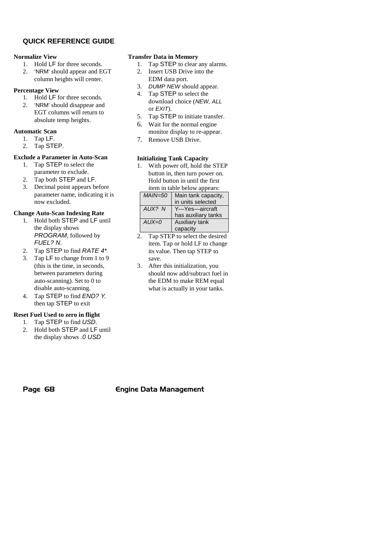#### **QUICK REFERENCE GUIDE**

#### **Normalize View**

- 1. Hold LF for three seconds.
- 2. 'NRM' should appear and EGT column heights will center.

#### **Percentage View**

- 1. Hold LF for three seconds.
- 2. 'NRM' should disappear and EGT columns will return to absolute temp heights.

#### **Automatic Scan**

- 1. Tap LF.
- 2. Tap STEP.

#### **Exclude a Parameter in Auto-Scan**

- 1. Tap STEP to select the parameter to exclude.
- 2. Tap both STEP and LF.
- 3. Decimal point appears before parameter name, indicating it is now excluded.

#### **Change Auto-Scan Indexing Rate**

- 1. Hold both STEP and LF until the display shows *PROGRAM*, followed by *FUEL? N*.
- 2. Tap STEP to find *RATE 4\**.
- 3. Tap LF to change from 1 to 9 (this is the time, in seconds, between parameters during auto-scanning). Set to 0 to disable auto-scanning.
- 4. Tap STEP to find *END? Y*, then tap STEP to exit

#### **Reset Fuel Used to zero in flight**

- 1. Tap STEP to find *USD*.
- 2. Hold both STEP and LF until the display shows *.0 USD*

#### **Transfer Data in Memory**

- 1. Tap STEP to clear any alarms.
- 2. Insert USB Drive into the EDM data port.
- 3. *DUMP NEW* should appear.
- 4. Tap STEP to select the download choice (*NEW, ALL* or *EXIT*).
- 5. Tap STEP to initiate transfer.
- 6. Wait for the normal engine monitor display to re-appear.
- 7. Remove USB Drive.

#### **Initializing Tank Capacity**

1. With power off, hold the STEP button in, then turn power on. Hold button in until the first item in table below appears:

| reni in table below appears. |                     |  |
|------------------------------|---------------------|--|
| <b>MAIN=50</b>               | Main tank capacity, |  |
|                              | in units selected   |  |
| AUX? N                       | Y-Yes-aircraft      |  |
|                              | has auxiliary tanks |  |
| $AUX=0$                      | Auxiliary tank      |  |
|                              | capacity            |  |

- 2. Tap STEP to select the desired item. Tap or hold LF to change its value. Then tap STEP to save.
- 3. After this initialization, you should now add/subtract fuel in the EDM to make REM equal what is actually in your tanks.

#### Page 68 **Engine Data Management**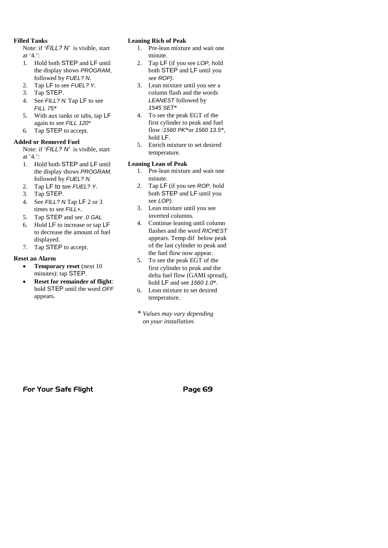#### **Filled Tanks**

Note: if '*FILL? N'* is visible, start at '4.':

- 1. Hold both STEP and LF until the display shows *PROGRAM*, followed by *FUEL? N*.
- 2. Tap LF to see *FUEL? Y*.
- 3. Tap STEP.
- 4. See *FILL? N*. Tap LF to see *FILL 75*\*
- 5. With aux tanks or tabs, tap LF again to see *FILL 120\**
- 6. Tap STEP to accept.

#### **Added or Removed Fuel**

Note: if '*FILL? N'* is visible, start at '4.':

- 1. Hold both STEP and LF until the display shows *PROGRAM,* followed by *FUEL? N.*
- 2. Tap LF to see *FUEL? Y*.
- 3. Tap STEP.
- 4. See *FILL? N*.Tap LF 2 or 3 times to see *FILL+*.
- 5. Tap STEP and see *.0 GAL*.
- 6. Hold LF to increase or tap LF to decrease the amount of fuel displayed.
- 7. Tap STEP to accept.

#### **Reset an Alarm**

- **Temporary reset** (next 10 minutes): tap STEP.
- **Reset for remainder of flight**: hold STEP until the word *OFF* appears.

#### **Leaning Rich of Peak**

- 1. Pre-lean mixture and wait one minute.
- 2. Tap LF (if you see *LOP,* hold both STEP and LF until you see *ROP)*.
- 3. Lean mixture until you see a column flash and the words *LEANEST* followed by *1545 SET*\*
- 4. To see the peak EGT of the first cylinder to peak and fuel flow :*1560 PK*\*or *1560 13.5*\*, hold LF.
- 5. Enrich mixture to set desired temperature.

#### **Leaning Lean of Peak**

- 1. Pre-lean mixture and wait one minute.
- 2. Tap LF (if you see *ROP,* hold both STEP and LF until you see *LOP).*
- 3. Lean mixture until you see inverted columns.
- 4. Continue leaning until column flashes and the word *RICHEST* appears. Temp dif below peak of the last cylinder to peak and the fuel flow now appear.
- 5. To see the peak EGT of the first cylinder to peak and the delta fuel flow (GAMI spread), hold LF and see *1560 1.0*\*.
- 6. Lean mixture to set desired temperature.

*\* Values may vary depending on your installation.*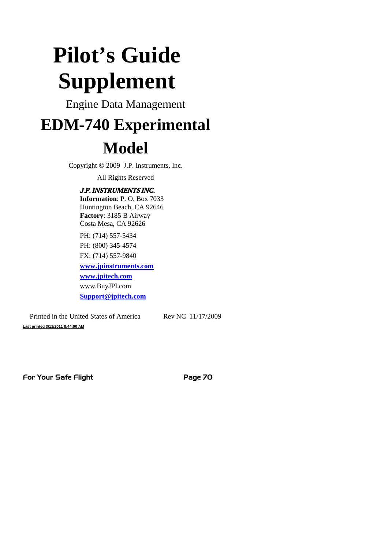# **Pilot's Guide Supplement**

Engine Data Management

# **EDM-740 Experimental**

# **Model**

Copyright  $\odot$  2009 J.P. Instruments, Inc.

All Rights Reserved

## J.P. INSTRUMENTS INC.

**Information**: P. O. Box 7033 Huntington Beach, CA 92646 **Factory**: 3185 B Airway Costa Mesa, CA 92626

PH: (714) 557-5434 PH: (800) 345-4574 FX: (714) 557-9840

**www.jpinstruments.com**

**www.jpitech.com**

www.BuyJPI.com **Support@jpitech.com**

Printed in the United States of America Rev NC 11/17/2009 **Last printed 3/11/2011 8:44:00 AM**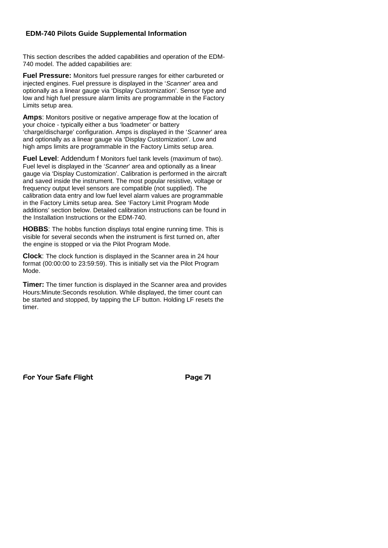#### **EDM-740 Pilots Guide Supplemental Information**

This section describes the added capabilities and operation of the EDM-740 model. The added capabilities are:

**Fuel Pressure:** Monitors fuel pressure ranges for either carbureted or injected engines. Fuel pressure is displayed in the '*Scanner*' area and optionally as a linear gauge via 'Display Customization'. Sensor type and low and high fuel pressure alarm limits are programmable in the Factory Limits setup area.

**Amps**: Monitors positive or negative amperage flow at the location of your choice - typically either a bus 'loadmeter' or battery 'charge/discharge' configuration. Amps is displayed in the '*Scanner*' area and optionally as a linear gauge via 'Display Customization'. Low and high amps limits are programmable in the Factory Limits setup area.

**Fuel Level**: Addendum f Monitors fuel tank levels (maximum of two). Fuel level is displayed in the '*Scanner*' area and optionally as a linear gauge via 'Display Customization'. Calibration is performed in the aircraft and saved inside the instrument. The most popular resistive, voltage or frequency output level sensors are compatible (not supplied). The calibration data entry and low fuel level alarm values are programmable in the Factory Limits setup area. See 'Factory Limit Program Mode additions' section below. Detailed calibration instructions can be found in the Installation Instructions or the EDM-740.

**HOBBS**: The hobbs function displays total engine running time. This is visible for several seconds when the instrument is first turned on, after the engine is stopped or via the Pilot Program Mode.

**Clock**: The clock function is displayed in the Scanner area in 24 hour format (00:00:00 to 23:59:59). This is initially set via the Pilot Program Mode.

**Timer:** The timer function is displayed in the Scanner area and provides Hours:Minute:Seconds resolution. While displayed, the timer count can be started and stopped, by tapping the LF button. Holding LF resets the timer.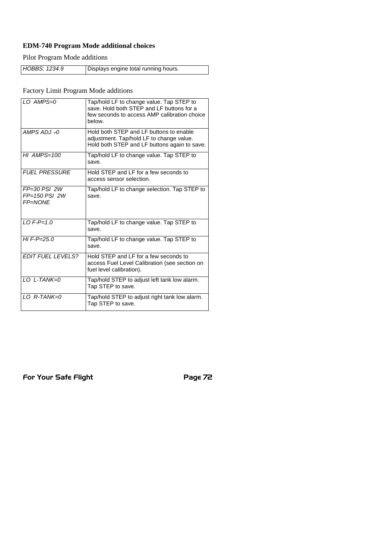## **EDM-740 Program Mode additional choices**

Pilot Program Mode additions

| HOBBS: 1234.9 | Displays engine total running hours. |
|---------------|--------------------------------------|

Factory Limit Program Mode additions

| LO AMPS=0                                    | Tap/hold LF to change value. Tap STEP to<br>save. Hold both STEP and LF buttons for a<br>few seconds to access AMP calibration choice<br>helow. |
|----------------------------------------------|-------------------------------------------------------------------------------------------------------------------------------------------------|
| AMPS $ADJ + O$                               | Hold both STEP and LF buttons to enable<br>adjustment. Tap/hold LF to change value.<br>Hold both STEP and LF buttons again to save.             |
| $HI$ AMPS=100                                | Tap/hold LF to change value. Tap STEP to<br>save.                                                                                               |
| <b>FUEL PRESSURE</b>                         | Hold STEP and LF for a few seconds to<br>access sensor selection.                                                                               |
| $FP=30$ PSI 2W<br>$FP=150$ PSI 2W<br>FP=NONE | Tap/hold LF to change selection. Tap STEP to<br>save.                                                                                           |
| $10F-P=1.0$                                  | Tap/hold LF to change value. Tap STEP to<br>save.                                                                                               |
| $HI F-P = 25.0$                              | Tap/hold LF to change value. Tap STEP to<br>save.                                                                                               |
| FDIT FUFL LEVELS?                            | Hold STFP and I F for a few seconds to<br>access Fuel Level Calibration (see section on<br>fuel level calibration).                             |
| $101-TANK=0$                                 | Tap/hold STEP to adjust left tank low alarm.<br>Tap STEP to save.                                                                               |
| $10$ R-TANK=0                                | Tap/hold STEP to adjust right tank low alarm.<br>Tap STEP to save.                                                                              |